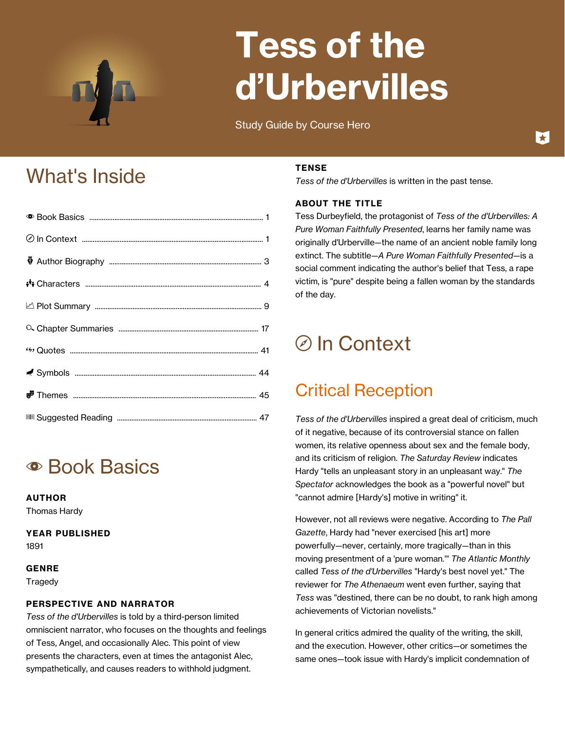

# **Tess of the d'Urbervilles**

Study Guide by Course Hero

## What's Inside

## **• Book Basics**

#### **AUTHOR**

Thomas Hardy

#### **YEAR PUBLISHED**

1891

#### **GENRE**

**Tragedy** 

#### **PERSPECTIVE AND NARRATOR**

*Tess of the d'Urbervilles* is told by a third-person limited omniscient narrator, who focuses on the thoughts and feelings of Tess, Angel, and occasionally Alec. This point of view presents the characters, even at times the antagonist Alec, sympathetically, and causes readers to withhold judgment.

#### **TENSE**

*Tess of the d'Urbervilles* is written in the past tense.

#### **ABOUT THE TITLE**

Tess Durbeyfield, the protagonist of *Tess of the d'Urbervilles: A Pure Woman Faithfully Presented*, learns her family name was originally d'Urberville—the name of an ancient noble family long extinct. The subtitle—*A Pure Woman Faithfully Presented*—is a social comment indicating the author's belief that Tess, a rape victim, is "pure" despite being a fallen woman by the standards of the day.

## d In Context

### Critical Reception

*Tess of the d'Urbervilles* inspired a great deal of criticism, much of it negative, because of its controversial stance on fallen women, its relative openness about sex and the female body, and its criticism of religion. *The Saturday Review* indicates Hardy "tells an unpleasant story in an unpleasant way." *The Spectator* acknowledges the book as a "powerful novel" but "cannot admire [Hardy's] motive in writing" it.

However, not all reviews were negative. According to *The Pall Gazette*, Hardy had "never exercised [his art] more powerfully—never, certainly, more tragically—than in this moving presentment of a 'pure woman.'" *The Atlantic Monthly* called *Tess of the d'Urbervilles* "Hardy's best novel yet." The reviewer for *The Athenaeum* went even further, saying that *Tess* was "destined, there can be no doubt, to rank high among achievements of Victorian novelists."

In general critics admired the quality of the writing, the skill, and the execution. However, other critics—or sometimes the same ones—took issue with Hardy's implicit condemnation of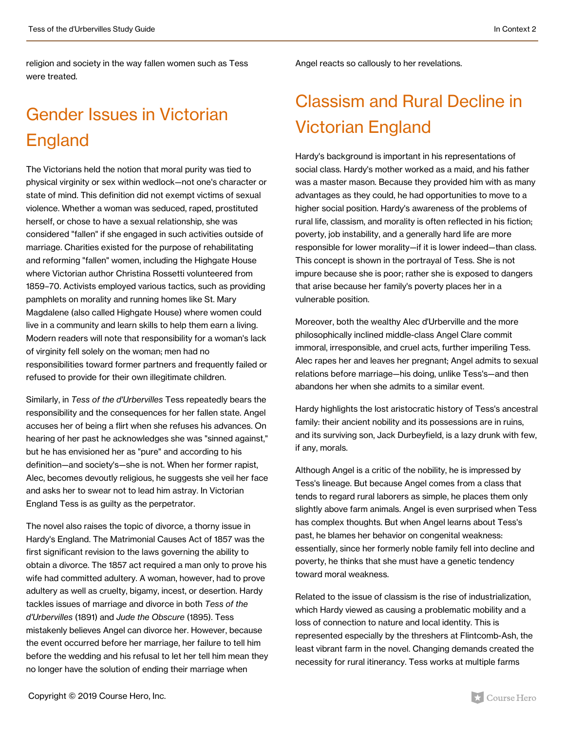religion and society in the way fallen women such as Tess were treated.

## Gender Issues in Victorian England

The Victorians held the notion that moral purity was tied to physical virginity or sex within wedlock—not one's character or state of mind. This definition did not exempt victims of sexual violence. Whether a woman was seduced, raped, prostituted herself, or chose to have a sexual relationship, she was considered "fallen" if she engaged in such activities outside of marriage. Charities existed for the purpose of rehabilitating and reforming "fallen" women, including the Highgate House where Victorian author Christina Rossetti volunteered from 1859–70. Activists employed various tactics, such as providing pamphlets on morality and running homes like St. Mary Magdalene (also called Highgate House) where women could live in a community and learn skills to help them earn a living. Modern readers will note that responsibility for a woman's lack of virginity fell solely on the woman; men had no responsibilities toward former partners and frequently failed or refused to provide for their own illegitimate children.

Similarly, in *Tess of the d'Urbervilles* Tess repeatedly bears the responsibility and the consequences for her fallen state. Angel accuses her of being a flirt when she refuses his advances. On hearing of her past he acknowledges she was "sinned against," but he has envisioned her as "pure" and according to his definition—and society's—she is not. When her former rapist, Alec, becomes devoutly religious, he suggests she veil her face and asks her to swear not to lead him astray. In Victorian England Tess is as guilty as the perpetrator.

The novel also raises the topic of divorce, a thorny issue in Hardy's England. The Matrimonial Causes Act of 1857 was the first significant revision to the laws governing the ability to obtain a divorce. The 1857 act required a man only to prove his wife had committed adultery. A woman, however, had to prove adultery as well as cruelty, bigamy, incest, or desertion. Hardy tackles issues of marriage and divorce in both *Tess of the d'Urbervilles* (1891) and *Jude the Obscure* (1895). Tess mistakenly believes Angel can divorce her. However, because the event occurred before her marriage, her failure to tell him before the wedding and his refusal to let her tell him mean they no longer have the solution of ending their marriage when

Angel reacts so callously to her revelations.

## Classism and Rural Decline in Victorian England

Hardy's background is important in his representations of social class. Hardy's mother worked as a maid, and his father was a master mason. Because they provided him with as many advantages as they could, he had opportunities to move to a higher social position. Hardy's awareness of the problems of rural life, classism, and morality is often reflected in his fiction; poverty, job instability, and a generally hard life are more responsible for lower morality—if it is lower indeed—than class. This concept is shown in the portrayal of Tess. She is not impure because she is poor; rather she is exposed to dangers that arise because her family's poverty places her in a vulnerable position.

Moreover, both the wealthy Alec d'Urberville and the more philosophically inclined middle-class Angel Clare commit immoral, irresponsible, and cruel acts, further imperiling Tess. Alec rapes her and leaves her pregnant; Angel admits to sexual relations before marriage—his doing, unlike Tess's—and then abandons her when she admits to a similar event.

Hardy highlights the lost aristocratic history of Tess's ancestral family: their ancient nobility and its possessions are in ruins, and its surviving son, Jack Durbeyfield, is a lazy drunk with few, if any, morals.

Although Angel is a critic of the nobility, he is impressed by Tess's lineage. But because Angel comes from a class that tends to regard rural laborers as simple, he places them only slightly above farm animals. Angel is even surprised when Tess has complex thoughts. But when Angel learns about Tess's past, he blames her behavior on congenital weakness: essentially, since her formerly noble family fell into decline and poverty, he thinks that she must have a genetic tendency toward moral weakness.

Related to the issue of classism is the rise of industrialization, which Hardy viewed as causing a problematic mobility and a loss of connection to nature and local identity. This is represented especially by the threshers at Flintcomb-Ash, the least vibrant farm in the novel. Changing demands created the necessity for rural itinerancy. Tess works at multiple farms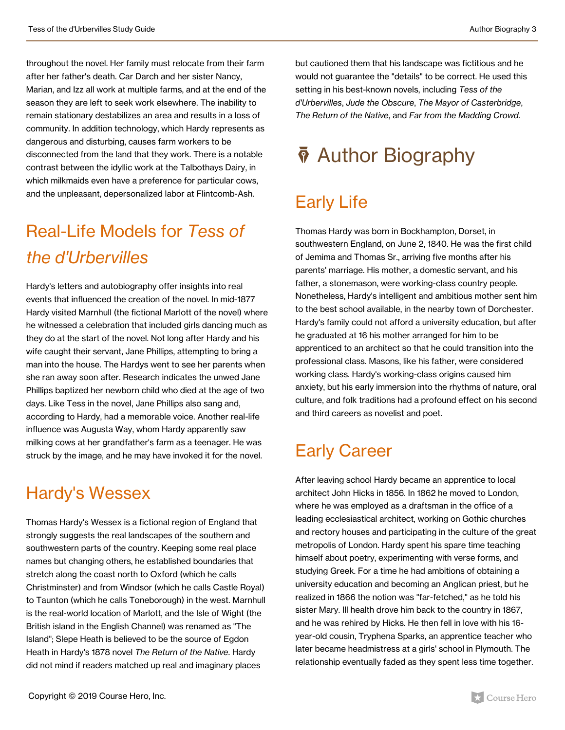throughout the novel. Her family must relocate from their farm after her father's death. Car Darch and her sister Nancy, Marian, and Izz all work at multiple farms, and at the end of the season they are left to seek work elsewhere. The inability to remain stationary destabilizes an area and results in a loss of community. In addition technology, which Hardy represents as dangerous and disturbing, causes farm workers to be disconnected from the land that they work. There is a notable contrast between the idyllic work at the Talbothays Dairy, in which milkmaids even have a preference for particular cows, and the unpleasant, depersonalized labor at Flintcomb-Ash.

## Real-Life Models for *Tess of the d'Urbervilles*

Hardy's letters and autobiography offer insights into real events that influenced the creation of the novel. In mid-1877 Hardy visited Marnhull (the fictional Marlott of the novel) where he witnessed a celebration that included girls dancing much as they do at the start of the novel. Not long after Hardy and his wife caught their servant, Jane Phillips, attempting to bring a man into the house. The Hardys went to see her parents when she ran away soon after. Research indicates the unwed Jane Phillips baptized her newborn child who died at the age of two days. Like Tess in the novel, Jane Phillips also sang and, according to Hardy, had a memorable voice. Another real-life influence was Augusta Way, whom Hardy apparently saw milking cows at her grandfather's farm as a teenager. He was struck by the image, and he may have invoked it for the novel.

### Hardy's Wessex

Thomas Hardy's Wessex is a fictional region of England that strongly suggests the real landscapes of the southern and southwestern parts of the country. Keeping some real place names but changing others, he established boundaries that stretch along the coast north to Oxford (which he calls Christminster) and from Windsor (which he calls Castle Royal) to Taunton (which he calls Toneborough) in the west. Marnhull is the real-world location of Marlott, and the Isle of Wight (the British island in the English Channel) was renamed as "The Island"; Slepe Heath is believed to be the source of Egdon Heath in Hardy's 1878 novel *The Return of the Native*. Hardy did not mind if readers matched up real and imaginary places

but cautioned them that his landscape was fictitious and he would not guarantee the "details" to be correct. He used this setting in his best-known novels, including *Tess of the d'Urbervilles*, *Jude the Obscure*, *The Mayor of Casterbridge*, *The Return of the Native*, and *Far from the Madding Crowd.*

## $\bar{\phi}$  Author Biography

### Early Life

Thomas Hardy was born in Bockhampton, Dorset, in southwestern England, on June 2, 1840. He was the first child of Jemima and Thomas Sr., arriving five months after his parents' marriage. His mother, a domestic servant, and his father, a stonemason, were working-class country people. Nonetheless, Hardy's intelligent and ambitious mother sent him to the best school available, in the nearby town of Dorchester. Hardy's family could not afford a university education, but after he graduated at 16 his mother arranged for him to be apprenticed to an architect so that he could transition into the professional class. Masons, like his father, were considered working class. Hardy's working-class origins caused him anxiety, but his early immersion into the rhythms of nature, oral culture, and folk traditions had a profound effect on his second and third careers as novelist and poet.

### Early Career

After leaving school Hardy became an apprentice to local architect John Hicks in 1856. In 1862 he moved to London, where he was employed as a draftsman in the office of a leading ecclesiastical architect, working on Gothic churches and rectory houses and participating in the culture of the great metropolis of London. Hardy spent his spare time teaching himself about poetry, experimenting with verse forms, and studying Greek. For a time he had ambitions of obtaining a university education and becoming an Anglican priest, but he realized in 1866 the notion was "far-fetched," as he told his sister Mary. Ill health drove him back to the country in 1867, and he was rehired by Hicks. He then fell in love with his 16 year-old cousin, Tryphena Sparks, an apprentice teacher who later became headmistress at a girls' school in Plymouth. The relationship eventually faded as they spent less time together.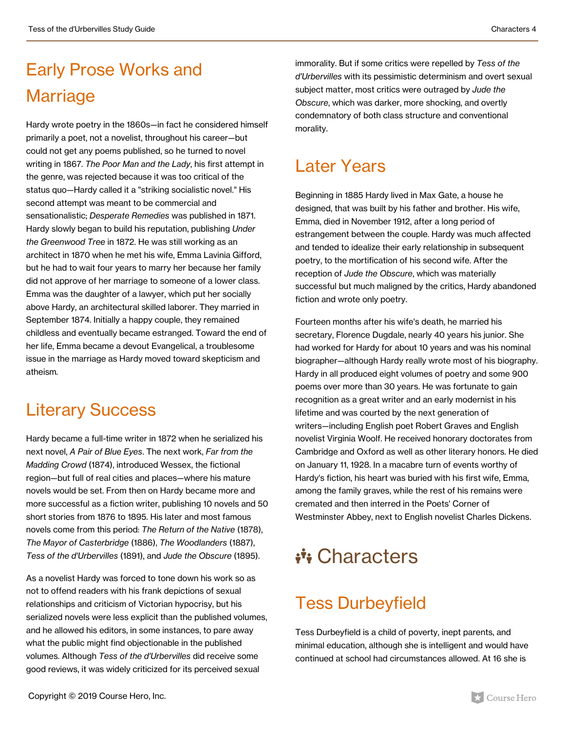## Early Prose Works and Marriage

Hardy wrote poetry in the 1860s—in fact he considered himself primarily a poet, not a novelist, throughout his career—but could not get any poems published, so he turned to novel writing in 1867. *The Poor Man and the Lady*, his first attempt in the genre, was rejected because it was too critical of the status quo—Hardy called it a "striking socialistic novel." His second attempt was meant to be commercial and sensationalistic; *Desperate Remedies* was published in 1871. Hardy slowly began to build his reputation, publishing *Under the Greenwood Tree* in 1872. He was still working as an architect in 1870 when he met his wife, Emma Lavinia Gifford, but he had to wait four years to marry her because her family did not approve of her marriage to someone of a lower class. Emma was the daughter of a lawyer, which put her socially above Hardy, an architectural skilled laborer. They married in September 1874. Initially a happy couple, they remained childless and eventually became estranged. Toward the end of her life, Emma became a devout Evangelical, a troublesome issue in the marriage as Hardy moved toward skepticism and atheism*.*

### Literary Success

Hardy became a full-time writer in 1872 when he serialized his next novel, *A Pair of Blue Eyes*. The next work, *Far from the Madding Crowd* (1874), introduced Wessex, the fictional region—but full of real cities and places—where his mature novels would be set. From then on Hardy became more and more successful as a fiction writer, publishing 10 novels and 50 short stories from 1876 to 1895. His later and most famous novels come from this period: *The Return of the Native* (1878), *The Mayor of Casterbridge* (1886), *The Woodlanders* (1887), *Tess of the d'Urbervilles* (1891), and *Jude the Obscure* (1895).

As a novelist Hardy was forced to tone down his work so as not to offend readers with his frank depictions of sexual relationships and criticism of Victorian hypocrisy, but his serialized novels were less explicit than the published volumes, and he allowed his editors, in some instances, to pare away what the public might find objectionable in the published volumes. Although *Tess of the d'Urbervilles* did receive some good reviews, it was widely criticized for its perceived sexual

immorality. But if some critics were repelled by *Tess of the d'Urbervilles* with its pessimistic determinism and overt sexual subject matter, most critics were outraged by *Jude the Obscure*, which was darker, more shocking, and overtly condemnatory of both class structure and conventional morality.

### Later Years

Beginning in 1885 Hardy lived in Max Gate, a house he designed, that was built by his father and brother. His wife, Emma, died in November 1912, after a long period of estrangement between the couple. Hardy was much affected and tended to idealize their early relationship in subsequent poetry, to the mortification of his second wife. After the reception of *Jude the Obscure*, which was materially successful but much maligned by the critics, Hardy abandoned fiction and wrote only poetry.

Fourteen months after his wife's death, he married his secretary, Florence Dugdale, nearly 40 years his junior. She had worked for Hardy for about 10 years and was his nominal biographer—although Hardy really wrote most of his biography. Hardy in all produced eight volumes of poetry and some 900 poems over more than 30 years. He was fortunate to gain recognition as a great writer and an early modernist in his lifetime and was courted by the next generation of writers—including English poet Robert Graves and English novelist Virginia Woolf. He received honorary doctorates from Cambridge and Oxford as well as other literary honors. He died on January 11, 1928. In a macabre turn of events worthy of Hardy's fiction, his heart was buried with his first wife, Emma, among the family graves, while the rest of his remains were cremated and then interred in the Poets' Corner of Westminster Abbey, next to English novelist Charles Dickens.

## \*\*\* Characters

### Tess Durbeyfield

Tess Durbeyfield is a child of poverty, inept parents, and minimal education, although she is intelligent and would have continued at school had circumstances allowed. At 16 she is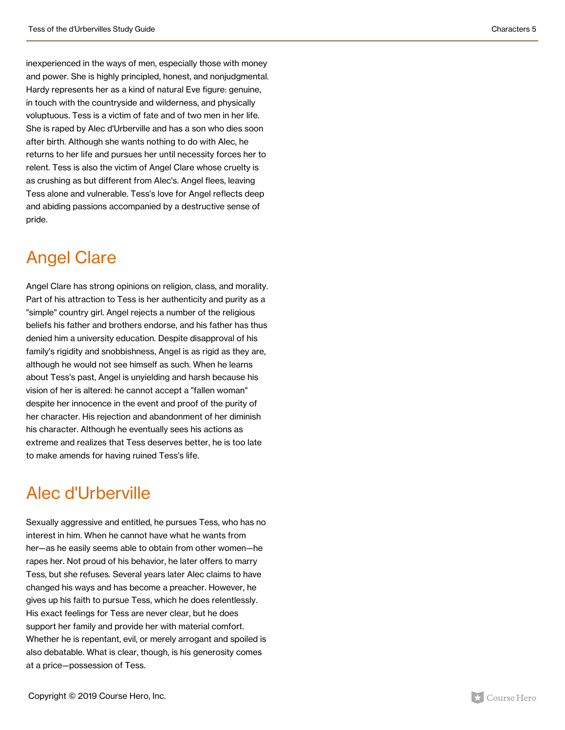inexperienced in the ways of men, especially those with money and power. She is highly principled, honest, and nonjudgmental. Hardy represents her as a kind of natural Eve figure: genuine, in touch with the countryside and wilderness, and physically voluptuous. Tess is a victim of fate and of two men in her life. She is raped by Alec d'Urberville and has a son who dies soon after birth. Although she wants nothing to do with Alec, he returns to her life and pursues her until necessity forces her to relent. Tess is also the victim of Angel Clare whose cruelty is as crushing as but different from Alec's. Angel flees, leaving Tess alone and vulnerable. Tess's love for Angel reflects deep and abiding passions accompanied by a destructive sense of pride.

### Angel Clare

Angel Clare has strong opinions on religion, class, and morality. Part of his attraction to Tess is her authenticity and purity as a "simple" country girl. Angel rejects a number of the religious beliefs his father and brothers endorse, and his father has thus denied him a university education. Despite disapproval of his family's rigidity and snobbishness, Angel is as rigid as they are, although he would not see himself as such. When he learns about Tess's past, Angel is unyielding and harsh because his vision of her is altered: he cannot accept a "fallen woman" despite her innocence in the event and proof of the purity of her character. His rejection and abandonment of her diminish his character. Although he eventually sees his actions as extreme and realizes that Tess deserves better, he is too late to make amends for having ruined Tess's life.

### Alec d'Urberville

Sexually aggressive and entitled, he pursues Tess, who has no interest in him. When he cannot have what he wants from her—as he easily seems able to obtain from other women—he rapes her. Not proud of his behavior, he later offers to marry Tess, but she refuses. Several years later Alec claims to have changed his ways and has become a preacher. However, he gives up his faith to pursue Tess, which he does relentlessly. His exact feelings for Tess are never clear, but he does support her family and provide her with material comfort. Whether he is repentant, evil, or merely arrogant and spoiled is also debatable. What is clear, though, is his generosity comes at a price—possession of Tess.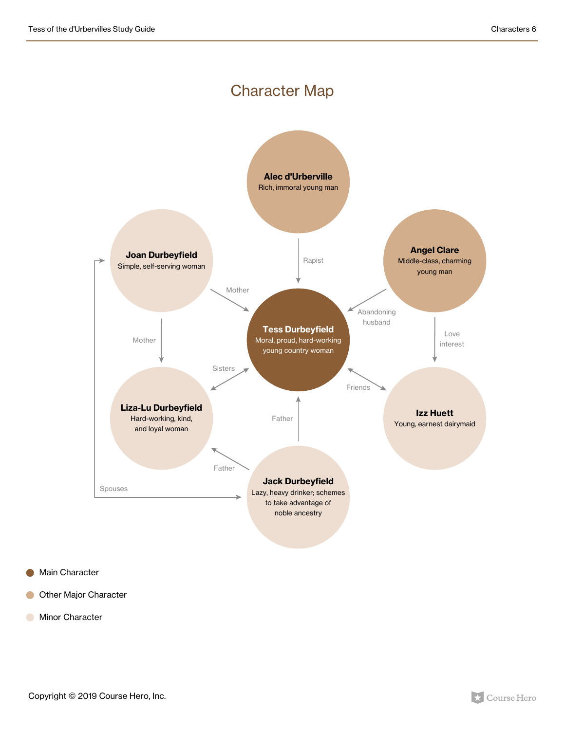#### Character Map



- Main Character  $\bullet$
- Other Major Character  $\bullet$
- **Minor Character**

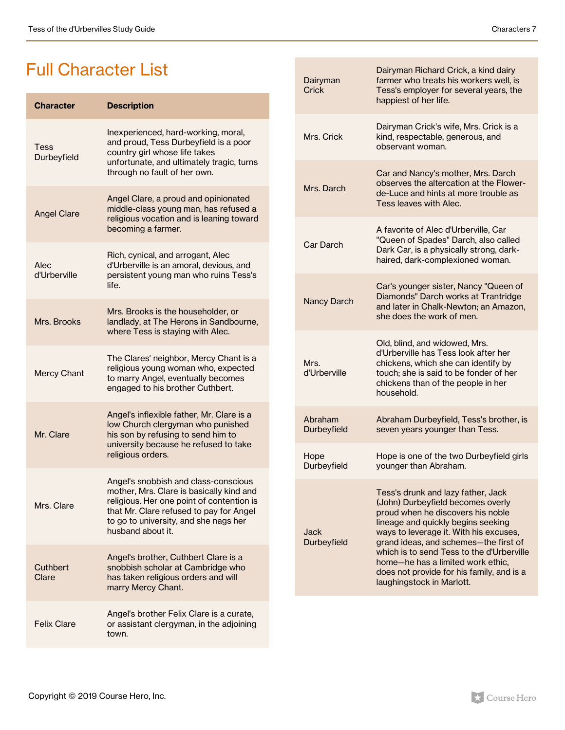### Full Character List

| <b>Character</b>     | <b>Description</b>                                                                                                                                                                                                                     |
|----------------------|----------------------------------------------------------------------------------------------------------------------------------------------------------------------------------------------------------------------------------------|
| Tess<br>Durbeyfield  | Inexperienced, hard-working, moral,<br>and proud, Tess Durbeyfield is a poor<br>country girl whose life takes<br>unfortunate, and ultimately tragic, turns<br>through no fault of her own.                                             |
| <b>Angel Clare</b>   | Angel Clare, a proud and opinionated<br>middle-class young man, has refused a<br>religious vocation and is leaning toward<br>becoming a farmer.                                                                                        |
| Alec<br>d'Urberville | Rich, cynical, and arrogant, Alec<br>d'Urberville is an amoral, devious, and<br>persistent young man who ruins Tess's<br>life.                                                                                                         |
| Mrs. Brooks          | Mrs. Brooks is the householder, or<br>landlady, at The Herons in Sandbourne,<br>where Tess is staying with Alec.                                                                                                                       |
| <b>Mercy Chant</b>   | The Clares' neighbor, Mercy Chant is a<br>religious young woman who, expected<br>to marry Angel, eventually becomes<br>engaged to his brother Cuthbert.                                                                                |
| Mr. Clare            | Angel's inflexible father, Mr. Clare is a<br>low Church clergyman who punished<br>his son by refusing to send him to<br>university because he refused to take<br>religious orders.                                                     |
| Mrs. Clare           | Angel's snobbish and class-conscious<br>mother, Mrs. Clare is basically kind and<br>religious. Her one point of contention is<br>that Mr. Clare refused to pay for Angel<br>to go to university, and she nags her<br>husband about it. |
| Cuthbert<br>Clare    | Angel's brother, Cuthbert Clare is a<br>snobbish scholar at Cambridge who<br>has taken religious orders and will<br>marry Mercy Chant.                                                                                                 |
| <b>Felix Clare</b>   | Angel's brother Felix Clare is a curate,<br>or assistant clergyman, in the adjoining<br>town.                                                                                                                                          |

| Dairyman<br>Crick             | Dairyman Richard Crick, a kind dairy<br>farmer who treats his workers well, is<br>Tess's employer for several years, the<br>happiest of her life.                                                                                                                                                                                                                                                 |
|-------------------------------|---------------------------------------------------------------------------------------------------------------------------------------------------------------------------------------------------------------------------------------------------------------------------------------------------------------------------------------------------------------------------------------------------|
| Mrs. Crick                    | Dairyman Crick's wife, Mrs. Crick is a<br>kind, respectable, generous, and<br>observant woman.                                                                                                                                                                                                                                                                                                    |
| Mrs. Darch                    | Car and Nancy's mother, Mrs. Darch<br>observes the altercation at the Flower-<br>de-Luce and hints at more trouble as<br>Tess leaves with Alec.                                                                                                                                                                                                                                                   |
| Car Darch                     | A favorite of Alec d'Urberville, Car<br>"Queen of Spades" Darch, also called<br>Dark Car, is a physically strong, dark-<br>haired, dark-complexioned woman.                                                                                                                                                                                                                                       |
| <b>Nancy Darch</b>            | Car's younger sister, Nancy "Queen of<br>Diamonds" Darch works at Trantridge<br>and later in Chalk-Newton; an Amazon,<br>she does the work of men.                                                                                                                                                                                                                                                |
| Mrs.<br>d'Urberville          | Old, blind, and widowed, Mrs.<br>d'Urberville has Tess look after her<br>chickens, which she can identify by<br>touch; she is said to be fonder of her<br>chickens than of the people in her<br>household.                                                                                                                                                                                        |
| Abraham<br><b>Durbeyfield</b> | Abraham Durbeyfield, Tess's brother, is<br>seven years younger than Tess.                                                                                                                                                                                                                                                                                                                         |
| Hope<br>Durbeyfield           | Hope is one of the two Durbeyfield girls<br>younger than Abraham.                                                                                                                                                                                                                                                                                                                                 |
| Jack<br><b>Durbeyfield</b>    | Tess's drunk and lazy father, Jack<br>(John) Durbeyfield becomes overly<br>proud when he discovers his noble<br>lineage and quickly begins seeking<br>ways to leverage it. With his excuses,<br>grand ideas, and schemes-the first of<br>which is to send Tess to the d'Urberville<br>home-he has a limited work ethic,<br>does not provide for his family, and is a<br>laughingstock in Marlott. |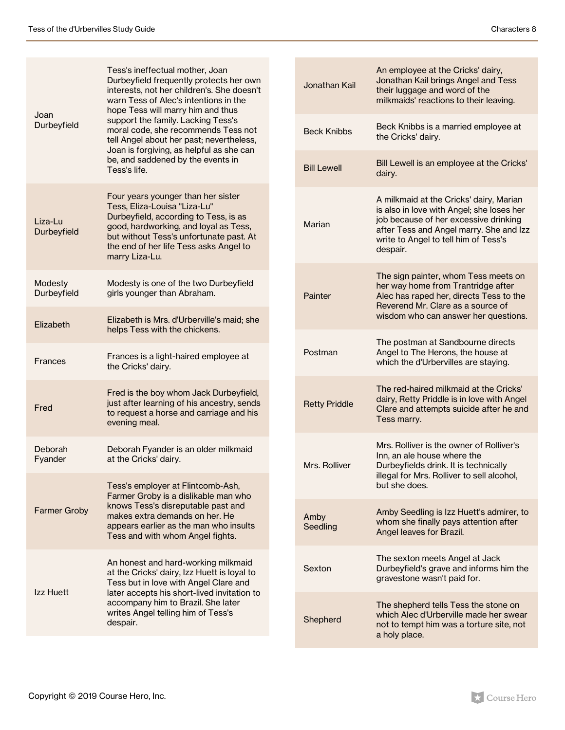| Joan<br>Durbeyfield           | Tess's ineffectual mother, Joan<br>Durbeyfield frequently protects her own<br>interests, not her children's. She doesn't<br>warn Tess of Alec's intentions in the<br>hope Tess will marry him and thus                                                             |  | Jonathan k         |
|-------------------------------|--------------------------------------------------------------------------------------------------------------------------------------------------------------------------------------------------------------------------------------------------------------------|--|--------------------|
|                               | support the family. Lacking Tess's<br>moral code, she recommends Tess not<br>tell Angel about her past; nevertheless,<br>Joan is forgiving, as helpful as she can<br>be, and saddened by the events in<br>Tess's life.                                             |  | <b>Beck Knibl</b>  |
|                               |                                                                                                                                                                                                                                                                    |  | <b>Bill Lewell</b> |
| Liza-Lu<br><b>Durbeyfield</b> | Four years younger than her sister<br>Tess, Eliza-Louisa "Liza-Lu"<br>Durbeyfield, according to Tess, is as<br>good, hardworking, and loyal as Tess,<br>but without Tess's unfortunate past. At<br>the end of her life Tess asks Angel to<br>marry Liza-Lu.        |  | Marian             |
| Modesty<br>Durbeyfield        | Modesty is one of the two Durbeyfield<br>girls younger than Abraham.                                                                                                                                                                                               |  | Painter            |
| Elizabeth                     | Elizabeth is Mrs. d'Urberville's maid; she<br>helps Tess with the chickens.                                                                                                                                                                                        |  |                    |
| Frances                       | Frances is a light-haired employee at<br>the Cricks' dairy.                                                                                                                                                                                                        |  | Postman            |
| Fred                          | Fred is the boy whom Jack Durbeyfield,<br>just after learning of his ancestry, sends<br>to request a horse and carriage and his<br>evening meal.                                                                                                                   |  | <b>Retty Prido</b> |
| Deborah<br>Fyander            | Deborah Fyander is an older milkmaid<br>at the Cricks' dairy.                                                                                                                                                                                                      |  | Mrs. Rollive       |
|                               | Tess's employer at Flintcomb-Ash,<br>Farmer Groby is a dislikable man who                                                                                                                                                                                          |  |                    |
| <b>Farmer Groby</b>           | knows Tess's disreputable past and<br>makes extra demands on her. He<br>appears earlier as the man who insults<br>Tess and with whom Angel fights.                                                                                                                 |  | Amby<br>Seedling   |
| Izz Huett                     | An honest and hard-working milkmaid<br>at the Cricks' dairy, Izz Huett is loyal to<br>Tess but in love with Angel Clare and<br>later accepts his short-lived invitation to<br>accompany him to Brazil. She later<br>writes Angel telling him of Tess's<br>despair. |  | Sexton             |
|                               |                                                                                                                                                                                                                                                                    |  | Shepherd           |

Î.

| Jonathan Kail        | An employee at the Cricks' dairy,<br>Jonathan Kail brings Angel and Tess<br>their luggage and word of the<br>milkmaids' reactions to their leaving.                                                                          |
|----------------------|------------------------------------------------------------------------------------------------------------------------------------------------------------------------------------------------------------------------------|
| <b>Beck Knibbs</b>   | Beck Knibbs is a married employee at<br>the Cricks' dairy.                                                                                                                                                                   |
| <b>Bill Lewell</b>   | Bill Lewell is an employee at the Cricks'<br>dairy.                                                                                                                                                                          |
| Marian               | A milkmaid at the Cricks' dairy, Marian<br>is also in love with Angel; she loses her<br>job because of her excessive drinking<br>after Tess and Angel marry. She and Izz<br>write to Angel to tell him of Tess's<br>despair. |
| Painter              | The sign painter, whom Tess meets on<br>her way home from Trantridge after<br>Alec has raped her, directs Tess to the<br>Reverend Mr. Clare as a source of<br>wisdom who can answer her questions.                           |
| Postman              | The postman at Sandbourne directs<br>Angel to The Herons, the house at<br>which the d'Urbervilles are staying.                                                                                                               |
| <b>Retty Priddle</b> | The red-haired milkmaid at the Cricks'<br>dairy, Retty Priddle is in love with Angel<br>Clare and attempts suicide after he and<br>Tess marry.                                                                               |
| Mrs. Rolliver        | Mrs. Rolliver is the owner of Rolliver's<br>Inn, an ale house where the<br>Durbeyfields drink. It is technically<br>illegal for Mrs. Rolliver to sell alcohol,<br>but she does.                                              |
| Amby<br>Seedling     | Amby Seedling is Izz Huett's admirer, to<br>whom she finally pays attention after<br>Angel leaves for Brazil.                                                                                                                |
| Sexton               | The sexton meets Angel at Jack<br>Durbeyfield's grave and informs him the<br>gravestone wasn't paid for.                                                                                                                     |
| Shepherd             | The shepherd tells Tess the stone on<br>which Alec d'Urberville made her swear<br>not to tempt him was a torture site, not<br>a holy place.                                                                                  |

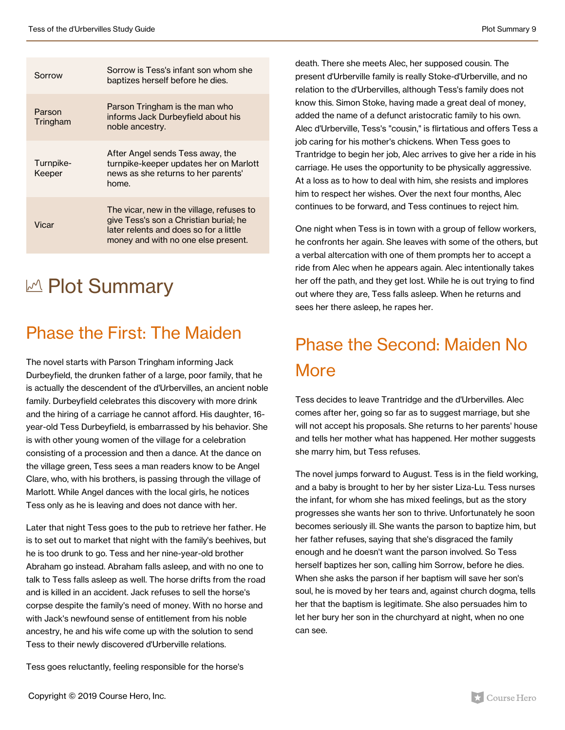| Sorrow              | Sorrow is Tess's infant son whom she<br>baptizes herself before he dies.                                                                                             |
|---------------------|----------------------------------------------------------------------------------------------------------------------------------------------------------------------|
| Parson<br>Tringham  | Parson Tringham is the man who<br>informs Jack Durbeyfield about his<br>noble ancestry.                                                                              |
| Turnpike-<br>Keeper | After Angel sends Tess away, the<br>turnpike-keeper updates her on Marlott<br>news as she returns to her parents'<br>home.                                           |
| Vicar               | The vicar, new in the village, refuses to<br>give Tess's son a Christian burial; he<br>later relents and does so for a little<br>money and with no one else present. |

## M Plot Summary

### Phase the First: The Maiden

The novel starts with Parson Tringham informing Jack Durbeyfield, the drunken father of a large, poor family, that he is actually the descendent of the d'Urbervilles, an ancient noble family. Durbeyfield celebrates this discovery with more drink and the hiring of a carriage he cannot afford. His daughter, 16 year-old Tess Durbeyfield, is embarrassed by his behavior. She is with other young women of the village for a celebration consisting of a procession and then a dance. At the dance on the village green, Tess sees a man readers know to be Angel Clare, who, with his brothers, is passing through the village of Marlott. While Angel dances with the local girls, he notices Tess only as he is leaving and does not dance with her.

Later that night Tess goes to the pub to retrieve her father. He is to set out to market that night with the family's beehives, but he is too drunk to go. Tess and her nine-year-old brother Abraham go instead. Abraham falls asleep, and with no one to talk to Tess falls asleep as well. The horse drifts from the road and is killed in an accident. Jack refuses to sell the horse's corpse despite the family's need of money. With no horse and with Jack's newfound sense of entitlement from his noble ancestry, he and his wife come up with the solution to send Tess to their newly discovered d'Urberville relations.

Tess goes reluctantly, feeling responsible for the horse's

death. There she meets Alec, her supposed cousin. The present d'Urberville family is really Stoke-d'Urberville, and no relation to the d'Urbervilles, although Tess's family does not know this. Simon Stoke, having made a great deal of money, added the name of a defunct aristocratic family to his own. Alec d'Urberville, Tess's "cousin," is flirtatious and offers Tess a job caring for his mother's chickens. When Tess goes to Trantridge to begin her job, Alec arrives to give her a ride in his carriage. He uses the opportunity to be physically aggressive. At a loss as to how to deal with him, she resists and implores him to respect her wishes. Over the next four months, Alec continues to be forward, and Tess continues to reject him.

One night when Tess is in town with a group of fellow workers, he confronts her again. She leaves with some of the others, but a verbal altercation with one of them prompts her to accept a ride from Alec when he appears again. Alec intentionally takes her off the path, and they get lost. While he is out trying to find out where they are, Tess falls asleep. When he returns and sees her there asleep, he rapes her.

## Phase the Second: Maiden No **More**

Tess decides to leave Trantridge and the d'Urbervilles. Alec comes after her, going so far as to suggest marriage, but she will not accept his proposals. She returns to her parents' house and tells her mother what has happened. Her mother suggests she marry him, but Tess refuses.

The novel jumps forward to August. Tess is in the field working, and a baby is brought to her by her sister Liza-Lu. Tess nurses the infant, for whom she has mixed feelings, but as the story progresses she wants her son to thrive. Unfortunately he soon becomes seriously ill. She wants the parson to baptize him, but her father refuses, saying that she's disgraced the family enough and he doesn't want the parson involved. So Tess herself baptizes her son, calling him Sorrow, before he dies. When she asks the parson if her baptism will save her son's soul, he is moved by her tears and, against church dogma, tells her that the baptism is legitimate. She also persuades him to let her bury her son in the churchyard at night, when no one can see.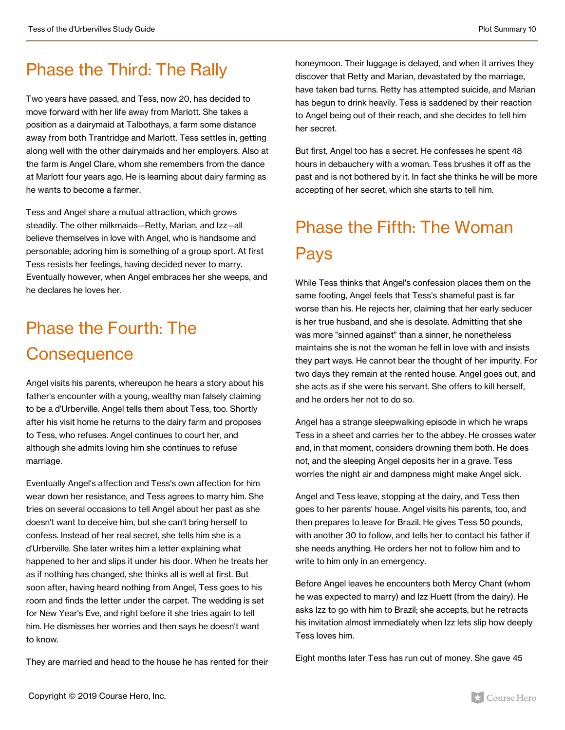### Phase the Third: The Rally

Two years have passed, and Tess, now 20, has decided to move forward with her life away from Marlott. She takes a position as a dairymaid at Talbothays, a farm some distance away from both Trantridge and Marlott. Tess settles in, getting along well with the other dairymaids and her employers. Also at the farm is Angel Clare, whom she remembers from the dance at Marlott four years ago. He is learning about dairy farming as he wants to become a farmer.

Tess and Angel share a mutual attraction, which grows steadily. The other milkmaids—Retty, Marian, and Izz—all believe themselves in love with Angel, who is handsome and personable; adoring him is something of a group sport. At first Tess resists her feelings, having decided never to marry. Eventually however, when Angel embraces her she weeps, and he declares he loves her.

## Phase the Fourth: The **Consequence**

Angel visits his parents, whereupon he hears a story about his father's encounter with a young, wealthy man falsely claiming to be a d'Urberville. Angel tells them about Tess, too. Shortly after his visit home he returns to the dairy farm and proposes to Tess, who refuses. Angel continues to court her, and although she admits loving him she continues to refuse marriage.

Eventually Angel's affection and Tess's own affection for him wear down her resistance, and Tess agrees to marry him. She tries on several occasions to tell Angel about her past as she doesn't want to deceive him, but she can't bring herself to confess. Instead of her real secret, she tells him she is a d'Urberville. She later writes him a letter explaining what happened to her and slips it under his door. When he treats her as if nothing has changed, she thinks all is well at first. But soon after, having heard nothing from Angel, Tess goes to his room and finds the letter under the carpet. The wedding is set for New Year's Eve, and right before it she tries again to tell him. He dismisses her worries and then says he doesn't want to know.

They are married and head to the house he has rented for their

honeymoon. Their luggage is delayed, and when it arrives they discover that Retty and Marian, devastated by the marriage, have taken bad turns. Retty has attempted suicide, and Marian has begun to drink heavily. Tess is saddened by their reaction to Angel being out of their reach, and she decides to tell him her secret.

But first, Angel too has a secret. He confesses he spent 48 hours in debauchery with a woman. Tess brushes it off as the past and is not bothered by it. In fact she thinks he will be more accepting of her secret, which she starts to tell him.

## Phase the Fifth: The Woman **Pays**

While Tess thinks that Angel's confession places them on the same footing, Angel feels that Tess's shameful past is far worse than his. He rejects her, claiming that her early seducer is her true husband, and she is desolate. Admitting that she was more "sinned against" than a sinner, he nonetheless maintains she is not the woman he fell in love with and insists they part ways. He cannot bear the thought of her impurity. For two days they remain at the rented house. Angel goes out, and she acts as if she were his servant. She offers to kill herself, and he orders her not to do so.

Angel has a strange sleepwalking episode in which he wraps Tess in a sheet and carries her to the abbey. He crosses water and, in that moment, considers drowning them both. He does not, and the sleeping Angel deposits her in a grave. Tess worries the night air and dampness might make Angel sick.

Angel and Tess leave, stopping at the dairy, and Tess then goes to her parents' house. Angel visits his parents, too, and then prepares to leave for Brazil. He gives Tess 50 pounds, with another 30 to follow, and tells her to contact his father if she needs anything. He orders her not to follow him and to write to him only in an emergency.

Before Angel leaves he encounters both Mercy Chant (whom he was expected to marry) and Izz Huett (from the dairy). He asks Izz to go with him to Brazil; she accepts, but he retracts his invitation almost immediately when Izz lets slip how deeply Tess loves him.

Eight months later Tess has run out of money. She gave 45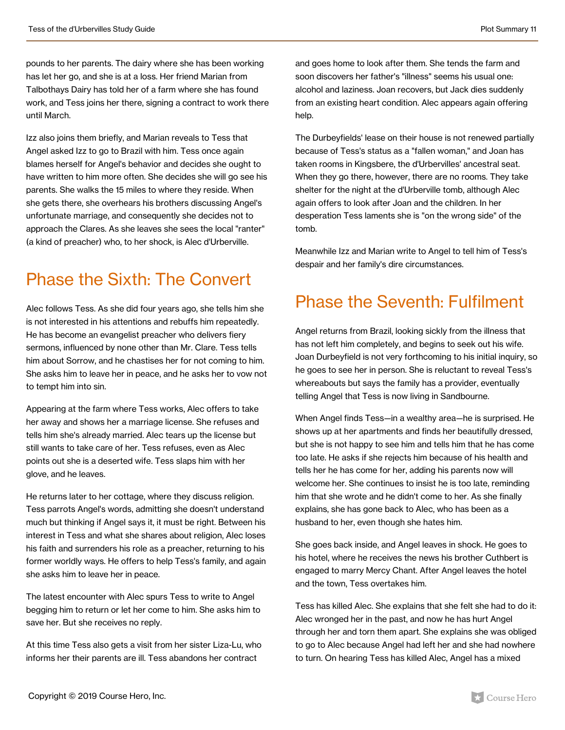pounds to her parents. The dairy where she has been working has let her go, and she is at a loss. Her friend Marian from Talbothays Dairy has told her of a farm where she has found work, and Tess joins her there, signing a contract to work there until March.

Izz also joins them briefly, and Marian reveals to Tess that Angel asked Izz to go to Brazil with him. Tess once again blames herself for Angel's behavior and decides she ought to have written to him more often. She decides she will go see his parents. She walks the 15 miles to where they reside. When she gets there, she overhears his brothers discussing Angel's unfortunate marriage, and consequently she decides not to approach the Clares. As she leaves she sees the local "ranter" (a kind of preacher) who, to her shock, is Alec d'Urberville.

### Phase the Sixth: The Convert

Alec follows Tess. As she did four years ago, she tells him she is not interested in his attentions and rebuffs him repeatedly. He has become an evangelist preacher who delivers fiery sermons, influenced by none other than Mr. Clare. Tess tells him about Sorrow, and he chastises her for not coming to him. She asks him to leave her in peace, and he asks her to vow not to tempt him into sin.

Appearing at the farm where Tess works, Alec offers to take her away and shows her a marriage license. She refuses and tells him she's already married. Alec tears up the license but still wants to take care of her. Tess refuses, even as Alec points out she is a deserted wife. Tess slaps him with her glove, and he leaves.

He returns later to her cottage, where they discuss religion. Tess parrots Angel's words, admitting she doesn't understand much but thinking if Angel says it, it must be right. Between his interest in Tess and what she shares about religion, Alec loses his faith and surrenders his role as a preacher, returning to his former worldly ways. He offers to help Tess's family, and again she asks him to leave her in peace.

The latest encounter with Alec spurs Tess to write to Angel begging him to return or let her come to him. She asks him to save her. But she receives no reply.

At this time Tess also gets a visit from her sister Liza-Lu, who informs her their parents are ill. Tess abandons her contract

and goes home to look after them. She tends the farm and soon discovers her father's "illness" seems his usual one: alcohol and laziness. Joan recovers, but Jack dies suddenly from an existing heart condition. Alec appears again offering help.

The Durbeyfields' lease on their house is not renewed partially because of Tess's status as a "fallen woman," and Joan has taken rooms in Kingsbere, the d'Urbervilles' ancestral seat. When they go there, however, there are no rooms. They take shelter for the night at the d'Urberville tomb, although Alec again offers to look after Joan and the children. In her desperation Tess laments she is "on the wrong side" of the tomb.

Meanwhile Izz and Marian write to Angel to tell him of Tess's despair and her family's dire circumstances.

### Phase the Seventh: Fulfilment

Angel returns from Brazil, looking sickly from the illness that has not left him completely, and begins to seek out his wife. Joan Durbeyfield is not very forthcoming to his initial inquiry, so he goes to see her in person. She is reluctant to reveal Tess's whereabouts but says the family has a provider, eventually telling Angel that Tess is now living in Sandbourne.

When Angel finds Tess—in a wealthy area—he is surprised. He shows up at her apartments and finds her beautifully dressed, but she is not happy to see him and tells him that he has come too late. He asks if she rejects him because of his health and tells her he has come for her, adding his parents now will welcome her. She continues to insist he is too late, reminding him that she wrote and he didn't come to her. As she finally explains, she has gone back to Alec, who has been as a husband to her, even though she hates him.

She goes back inside, and Angel leaves in shock. He goes to his hotel, where he receives the news his brother Cuthbert is engaged to marry Mercy Chant. After Angel leaves the hotel and the town, Tess overtakes him.

Tess has killed Alec. She explains that she felt she had to do it: Alec wronged her in the past, and now he has hurt Angel through her and torn them apart. She explains she was obliged to go to Alec because Angel had left her and she had nowhere to turn. On hearing Tess has killed Alec, Angel has a mixed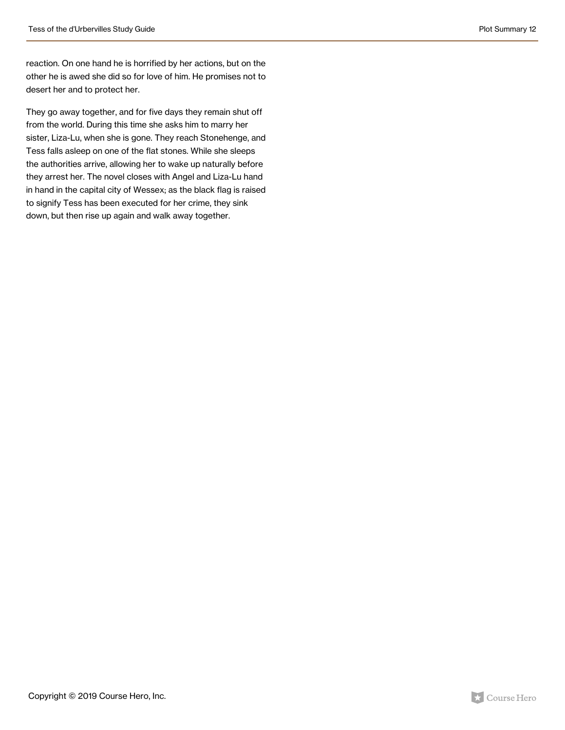reaction. On one hand he is horrified by her actions, but on the other he is awed she did so for love of him. He promises not to desert her and to protect her.

They go away together, and for five days they remain shut off from the world. During this time she asks him to marry her sister, Liza-Lu, when she is gone. They reach Stonehenge, and Tess falls asleep on one of the flat stones. While she sleeps the authorities arrive, allowing her to wake up naturally before they arrest her. The novel closes with Angel and Liza-Lu hand in hand in the capital city of Wessex; as the black flag is raised to signify Tess has been executed for her crime, they sink down, but then rise up again and walk away together.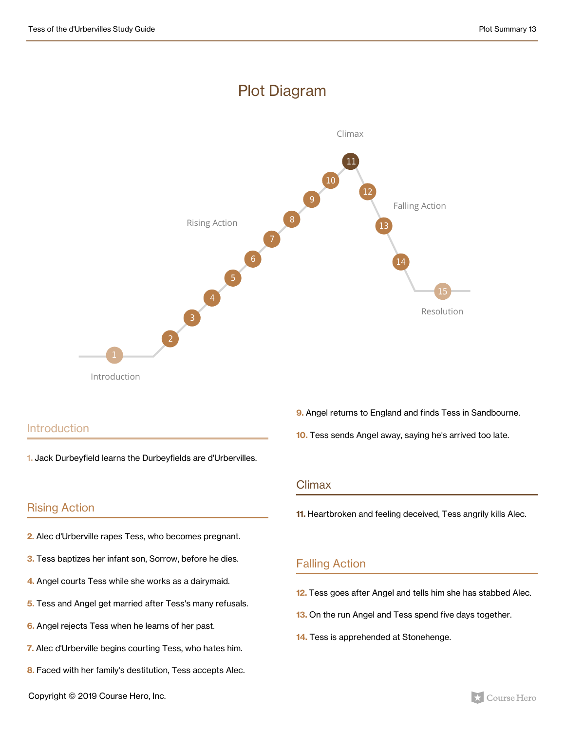#### Plot Diagram



#### **Introduction**

**1.** Jack Durbeyfield learns the Durbeyfields are d'Urbervilles.

#### Rising Action

- **2.** Alec d'Urberville rapes Tess, who becomes pregnant.
- **3.** Tess baptizes her infant son, Sorrow, before he dies.
- **4.** Angel courts Tess while she works as a dairymaid.
- **5.** Tess and Angel get married after Tess's many refusals.
- **6.** Angel rejects Tess when he learns of her past.
- **7.** Alec d'Urberville begins courting Tess, who hates him.
- **8.** Faced with her family's destitution, Tess accepts Alec.
- **9.** Angel returns to England and finds Tess in Sandbourne.
- **10.** Tess sends Angel away, saying he's arrived too late.

#### Climax

**11.** Heartbroken and feeling deceived, Tess angrily kills Alec.

#### Falling Action

- **12.** Tess goes after Angel and tells him she has stabbed Alec.
- **13.** On the run Angel and Tess spend five days together.
- **14.** Tess is apprehended at Stonehenge.

Copyright © 2019 Course Hero, Inc.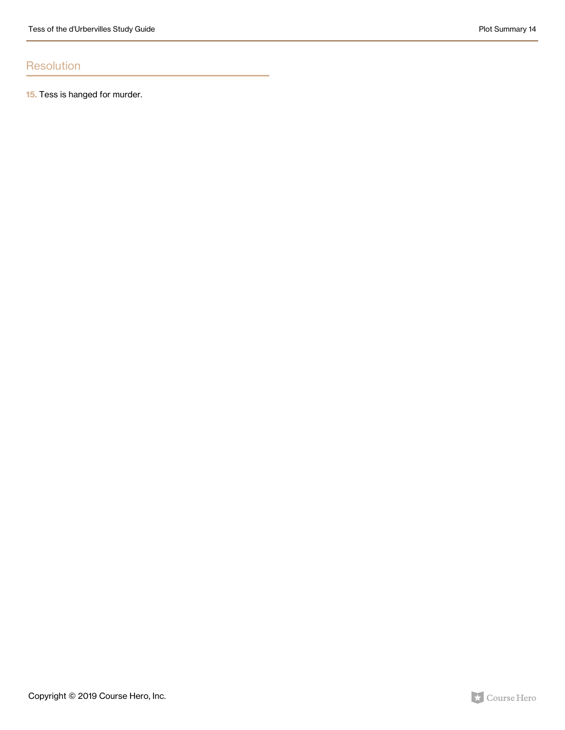#### **Resolution**

**15.** Tess is hanged for murder.

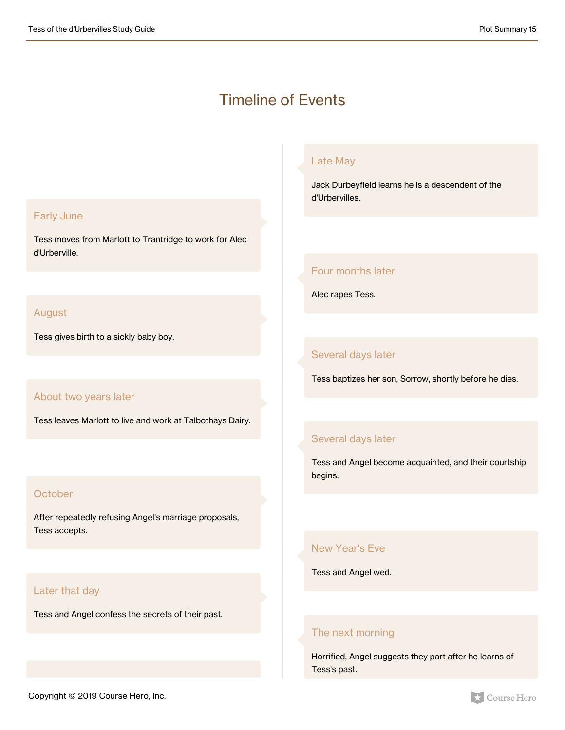#### Timeline of Events

#### Early June

Tess moves from Marlott to Trantridge to work for Alec d'Urberville.

#### August

Tess gives birth to a sickly baby boy.

#### About two years later

Tess leaves Marlott to live and work at Talbothays Dairy.

#### **October**

After repeatedly refusing Angel's marriage proposals, Tess accepts.

#### Later that day

Tess and Angel confess the secrets of their past.

#### Late May

Jack Durbeyfield learns he is a descendent of the d'Urbervilles.

#### Four months later

Alec rapes Tess.

#### Several days later

Tess baptizes her son, Sorrow, shortly before he dies.

#### Several days later

Tess and Angel become acquainted, and their courtship begins.

#### New Year's Eve

Tess and Angel wed.

#### The next morning

Horrified, Angel suggests they part after he learns of Tess's past.

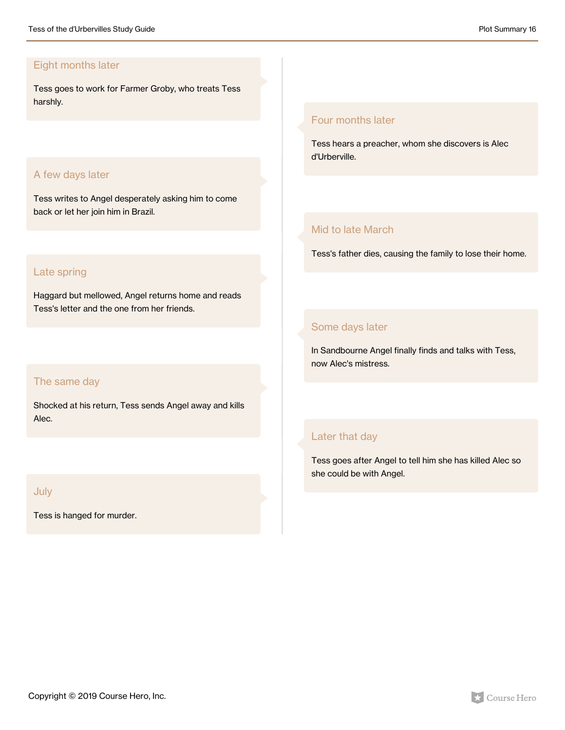#### Eight months later

Tess goes to work for Farmer Groby, who treats Tess harshly.

#### A few days later

Tess writes to Angel desperately asking him to come back or let her join him in Brazil.

#### Late spring

Haggard but mellowed, Angel returns home and reads Tess's letter and the one from her friends.

#### The same day

Shocked at his return, Tess sends Angel away and kills Alec.

#### July

Tess is hanged for murder.

#### Four months later

Tess hears a preacher, whom she discovers is Alec d'Urberville.

#### Mid to late March

Tess's father dies, causing the family to lose their home.

#### Some days later

In Sandbourne Angel finally finds and talks with Tess, now Alec's mistress.

#### Later that day

Tess goes after Angel to tell him she has killed Alec so she could be with Angel.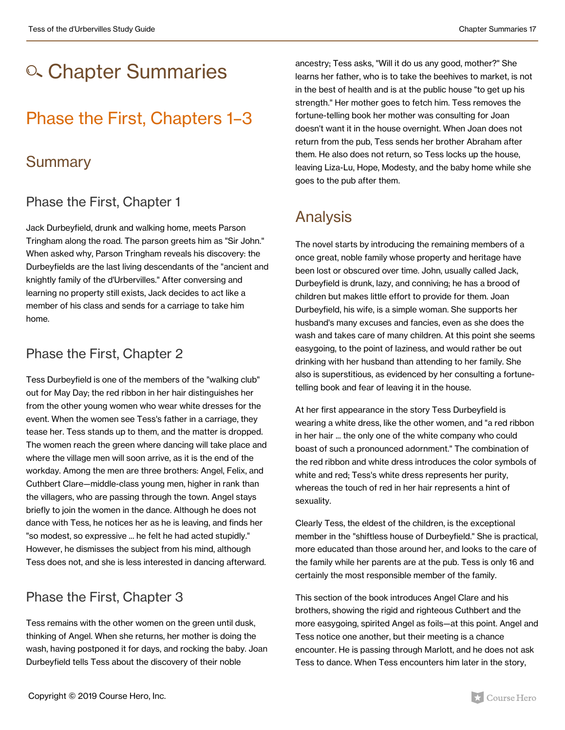## o. Chapter Summaries

### Phase the First, Chapters 1–3

#### **Summary**

#### Phase the First, Chapter 1

Jack Durbeyfield, drunk and walking home, meets Parson Tringham along the road. The parson greets him as "Sir John." When asked why, Parson Tringham reveals his discovery: the Durbeyfields are the last living descendants of the "ancient and knightly family of the d'Urbervilles." After conversing and learning no property still exists, Jack decides to act like a member of his class and sends for a carriage to take him home.

#### Phase the First, Chapter 2

Tess Durbeyfield is one of the members of the "walking club" out for May Day; the red ribbon in her hair distinguishes her from the other young women who wear white dresses for the event. When the women see Tess's father in a carriage, they tease her. Tess stands up to them, and the matter is dropped. The women reach the green where dancing will take place and where the village men will soon arrive, as it is the end of the workday. Among the men are three brothers: Angel, Felix, and Cuthbert Clare—middle-class young men, higher in rank than the villagers, who are passing through the town. Angel stays briefly to join the women in the dance. Although he does not dance with Tess, he notices her as he is leaving, and finds her "so modest, so expressive ... he felt he had acted stupidly." However, he dismisses the subject from his mind, although Tess does not, and she is less interested in dancing afterward.

#### Phase the First, Chapter 3

Tess remains with the other women on the green until dusk, thinking of Angel. When she returns, her mother is doing the wash, having postponed it for days, and rocking the baby. Joan Durbeyfield tells Tess about the discovery of their noble

ancestry; Tess asks, "Will it do us any good, mother?" She learns her father, who is to take the beehives to market, is not in the best of health and is at the public house "to get up his strength." Her mother goes to fetch him. Tess removes the fortune-telling book her mother was consulting for Joan doesn't want it in the house overnight. When Joan does not return from the pub, Tess sends her brother Abraham after them. He also does not return, so Tess locks up the house, leaving Liza-Lu, Hope, Modesty, and the baby home while she goes to the pub after them.

### Analysis

The novel starts by introducing the remaining members of a once great, noble family whose property and heritage have been lost or obscured over time. John, usually called Jack, Durbeyfield is drunk, lazy, and conniving; he has a brood of children but makes little effort to provide for them. Joan Durbeyfield, his wife, is a simple woman. She supports her husband's many excuses and fancies, even as she does the wash and takes care of many children. At this point she seems easygoing, to the point of laziness, and would rather be out drinking with her husband than attending to her family. She also is superstitious, as evidenced by her consulting a fortunetelling book and fear of leaving it in the house.

At her first appearance in the story Tess Durbeyfield is wearing a white dress, like the other women, and "a red ribbon in her hair ... the only one of the white company who could boast of such a pronounced adornment." The combination of the red ribbon and white dress introduces the color symbols of white and red; Tess's white dress represents her purity, whereas the touch of red in her hair represents a hint of sexuality.

Clearly Tess, the eldest of the children, is the exceptional member in the "shiftless house of Durbeyfield." She is practical, more educated than those around her, and looks to the care of the family while her parents are at the pub. Tess is only 16 and certainly the most responsible member of the family.

This section of the book introduces Angel Clare and his brothers, showing the rigid and righteous Cuthbert and the more easygoing, spirited Angel as foils—at this point. Angel and Tess notice one another, but their meeting is a chance encounter. He is passing through Marlott, and he does not ask Tess to dance. When Tess encounters him later in the story,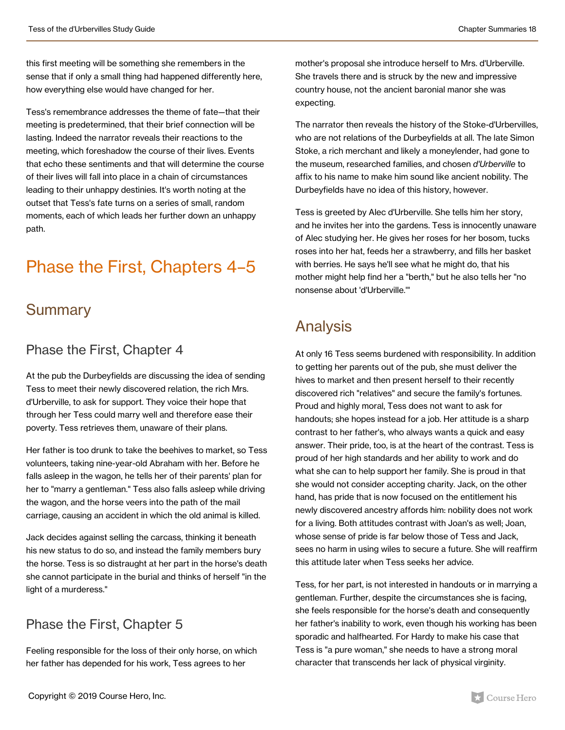this first meeting will be something she remembers in the sense that if only a small thing had happened differently here, how everything else would have changed for her.

Tess's remembrance addresses the theme of fate—that their meeting is predetermined, that their brief connection will be lasting. Indeed the narrator reveals their reactions to the meeting, which foreshadow the course of their lives. Events that echo these sentiments and that will determine the course of their lives will fall into place in a chain of circumstances leading to their unhappy destinies. It's worth noting at the outset that Tess's fate turns on a series of small, random moments, each of which leads her further down an unhappy path.

### Phase the First, Chapters 4–5

#### Summary

#### Phase the First, Chapter 4

At the pub the Durbeyfields are discussing the idea of sending Tess to meet their newly discovered relation, the rich Mrs. d'Urberville, to ask for support. They voice their hope that through her Tess could marry well and therefore ease their poverty. Tess retrieves them, unaware of their plans.

Her father is too drunk to take the beehives to market, so Tess volunteers, taking nine-year-old Abraham with her. Before he falls asleep in the wagon, he tells her of their parents' plan for her to "marry a gentleman." Tess also falls asleep while driving the wagon, and the horse veers into the path of the mail carriage, causing an accident in which the old animal is killed.

Jack decides against selling the carcass, thinking it beneath his new status to do so, and instead the family members bury the horse. Tess is so distraught at her part in the horse's death she cannot participate in the burial and thinks of herself "in the light of a murderess."

#### Phase the First, Chapter 5

Feeling responsible for the loss of their only horse, on which her father has depended for his work, Tess agrees to her

mother's proposal she introduce herself to Mrs. d'Urberville. She travels there and is struck by the new and impressive country house, not the ancient baronial manor she was expecting.

The narrator then reveals the history of the Stoke-d'Urbervilles, who are not relations of the Durbeyfields at all. The late Simon Stoke, a rich merchant and likely a moneylender, had gone to the museum, researched families, and chosen *d'Urberville* to affix to his name to make him sound like ancient nobility. The Durbeyfields have no idea of this history, however.

Tess is greeted by Alec d'Urberville. She tells him her story, and he invites her into the gardens. Tess is innocently unaware of Alec studying her. He gives her roses for her bosom, tucks roses into her hat, feeds her a strawberry, and fills her basket with berries. He says he'll see what he might do, that his mother might help find her a "berth," but he also tells her "no nonsense about 'd'Urberville.'"

### Analysis

At only 16 Tess seems burdened with responsibility. In addition to getting her parents out of the pub, she must deliver the hives to market and then present herself to their recently discovered rich "relatives" and secure the family's fortunes. Proud and highly moral, Tess does not want to ask for handouts; she hopes instead for a job. Her attitude is a sharp contrast to her father's, who always wants a quick and easy answer. Their pride, too, is at the heart of the contrast. Tess is proud of her high standards and her ability to work and do what she can to help support her family. She is proud in that she would not consider accepting charity. Jack, on the other hand, has pride that is now focused on the entitlement his newly discovered ancestry affords him: nobility does not work for a living. Both attitudes contrast with Joan's as well; Joan, whose sense of pride is far below those of Tess and Jack, sees no harm in using wiles to secure a future. She will reaffirm this attitude later when Tess seeks her advice.

Tess, for her part, is not interested in handouts or in marrying a gentleman. Further, despite the circumstances she is facing, she feels responsible for the horse's death and consequently her father's inability to work, even though his working has been sporadic and halfhearted. For Hardy to make his case that Tess is "a pure woman," she needs to have a strong moral character that transcends her lack of physical virginity.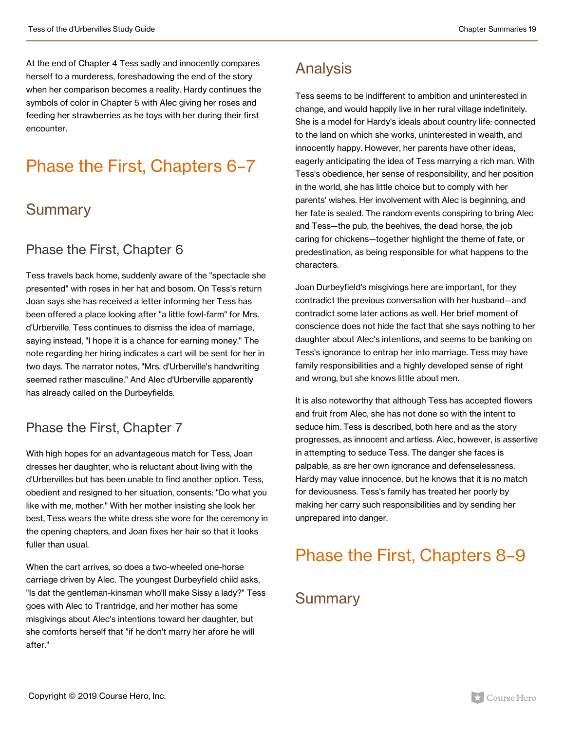At the end of Chapter 4 Tess sadly and innocently compares herself to a murderess, foreshadowing the end of the story when her comparison becomes a reality. Hardy continues the symbols of color in Chapter 5 with Alec giving her roses and feeding her strawberries as he toys with her during their first encounter.

### Phase the First, Chapters 6–7

#### Summary

#### Phase the First, Chapter 6

Tess travels back home, suddenly aware of the "spectacle she presented" with roses in her hat and bosom. On Tess's return Joan says she has received a letter informing her Tess has been offered a place looking after "a little fowl-farm" for Mrs. d'Urberville. Tess continues to dismiss the idea of marriage, saying instead, "I hope it is a chance for earning money." The note regarding her hiring indicates a cart will be sent for her in two days. The narrator notes, "Mrs. d'Urberville's handwriting seemed rather masculine." And Alec d'Urberville apparently has already called on the Durbeyfields.

#### Phase the First, Chapter 7

With high hopes for an advantageous match for Tess, Joan dresses her daughter, who is reluctant about living with the d'Urbervilles but has been unable to find another option. Tess, obedient and resigned to her situation, consents: "Do what you like with me, mother." With her mother insisting she look her best, Tess wears the white dress she wore for the ceremony in the opening chapters, and Joan fixes her hair so that it looks fuller than usual.

When the cart arrives, so does a two-wheeled one-horse carriage driven by Alec. The youngest Durbeyfield child asks, "Is dat the gentleman-kinsman who'll make Sissy a lady?" Tess goes with Alec to Trantridge, and her mother has some misgivings about Alec's intentions toward her daughter, but she comforts herself that "if he don't marry her afore he will after."

### Analysis

Tess seems to be indifferent to ambition and uninterested in change, and would happily live in her rural village indefinitely. She is a model for Hardy's ideals about country life: connected to the land on which she works, uninterested in wealth, and innocently happy. However, her parents have other ideas, eagerly anticipating the idea of Tess marrying a rich man. With Tess's obedience, her sense of responsibility, and her position in the world, she has little choice but to comply with her parents' wishes. Her involvement with Alec is beginning, and her fate is sealed. The random events conspiring to bring Alec and Tess—the pub, the beehives, the dead horse, the job caring for chickens—together highlight the theme of fate, or predestination, as being responsible for what happens to the characters.

Joan Durbeyfield's misgivings here are important, for they contradict the previous conversation with her husband—and contradict some later actions as well. Her brief moment of conscience does not hide the fact that she says nothing to her daughter about Alec's intentions, and seems to be banking on Tess's ignorance to entrap her into marriage. Tess may have family responsibilities and a highly developed sense of right and wrong, but she knows little about men.

It is also noteworthy that although Tess has accepted flowers and fruit from Alec, she has not done so with the intent to seduce him. Tess is described, both here and as the story progresses, as innocent and artless. Alec, however, is assertive in attempting to seduce Tess. The danger she faces is palpable, as are her own ignorance and defenselessness. Hardy may value innocence, but he knows that it is no match for deviousness. Tess's family has treated her poorly by making her carry such responsibilities and by sending her unprepared into danger.

### Phase the First, Chapters 8–9

#### Summary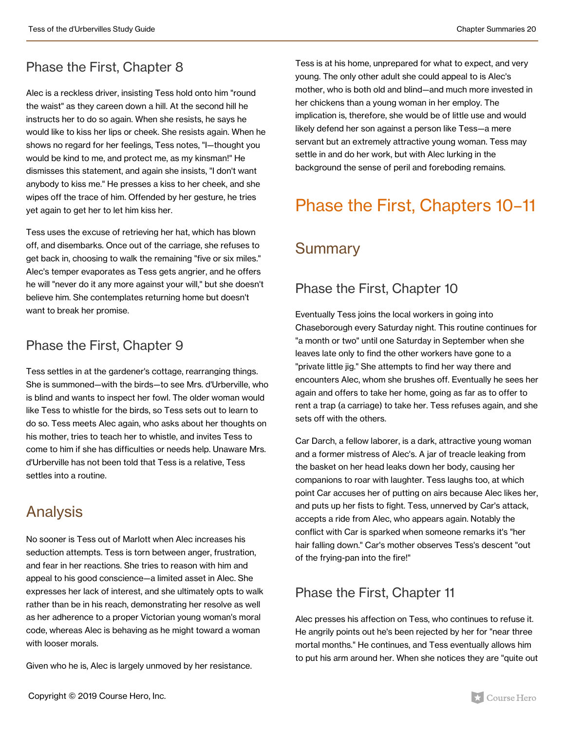### Phase the First, Chapter 8

Alec is a reckless driver, insisting Tess hold onto him "round the waist" as they careen down a hill. At the second hill he instructs her to do so again. When she resists, he says he would like to kiss her lips or cheek. She resists again. When he shows no regard for her feelings, Tess notes, "I—thought you would be kind to me, and protect me, as my kinsman!" He dismisses this statement, and again she insists, "I don't want anybody to kiss me." He presses a kiss to her cheek, and she wipes off the trace of him. Offended by her gesture, he tries yet again to get her to let him kiss her.

Tess uses the excuse of retrieving her hat, which has blown off, and disembarks. Once out of the carriage, she refuses to get back in, choosing to walk the remaining "five or six miles." Alec's temper evaporates as Tess gets angrier, and he offers he will "never do it any more against your will," but she doesn't believe him. She contemplates returning home but doesn't want to break her promise.

#### Phase the First, Chapter 9

Tess settles in at the gardener's cottage, rearranging things. She is summoned—with the birds—to see Mrs. d'Urberville, who is blind and wants to inspect her fowl. The older woman would like Tess to whistle for the birds, so Tess sets out to learn to do so. Tess meets Alec again, who asks about her thoughts on his mother, tries to teach her to whistle, and invites Tess to come to him if she has difficulties or needs help. Unaware Mrs. d'Urberville has not been told that Tess is a relative, Tess settles into a routine.

### Analysis

No sooner is Tess out of Marlott when Alec increases his seduction attempts. Tess is torn between anger, frustration, and fear in her reactions. She tries to reason with him and appeal to his good conscience—a limited asset in Alec. She expresses her lack of interest, and she ultimately opts to walk rather than be in his reach, demonstrating her resolve as well as her adherence to a proper Victorian young woman's moral code, whereas Alec is behaving as he might toward a woman with looser morals.

Given who he is, Alec is largely unmoved by her resistance.

Tess is at his home, unprepared for what to expect, and very young. The only other adult she could appeal to is Alec's mother, who is both old and blind—and much more invested in her chickens than a young woman in her employ. The implication is, therefore, she would be of little use and would likely defend her son against a person like Tess—a mere servant but an extremely attractive young woman. Tess may settle in and do her work, but with Alec lurking in the background the sense of peril and foreboding remains.

### Phase the First, Chapters 10–11

### **Summary**

#### Phase the First, Chapter 10

Eventually Tess joins the local workers in going into Chaseborough every Saturday night. This routine continues for "a month or two" until one Saturday in September when she leaves late only to find the other workers have gone to a "private little jig." She attempts to find her way there and encounters Alec, whom she brushes off. Eventually he sees her again and offers to take her home, going as far as to offer to rent a trap (a carriage) to take her. Tess refuses again, and she sets off with the others.

Car Darch, a fellow laborer, is a dark, attractive young woman and a former mistress of Alec's. A jar of treacle leaking from the basket on her head leaks down her body, causing her companions to roar with laughter. Tess laughs too, at which point Car accuses her of putting on airs because Alec likes her, and puts up her fists to fight. Tess, unnerved by Car's attack, accepts a ride from Alec, who appears again. Notably the conflict with Car is sparked when someone remarks it's "her hair falling down." Car's mother observes Tess's descent "out of the frying-pan into the fire!"

#### Phase the First, Chapter 11

Alec presses his affection on Tess, who continues to refuse it. He angrily points out he's been rejected by her for "near three mortal months." He continues, and Tess eventually allows him to put his arm around her. When she notices they are "quite out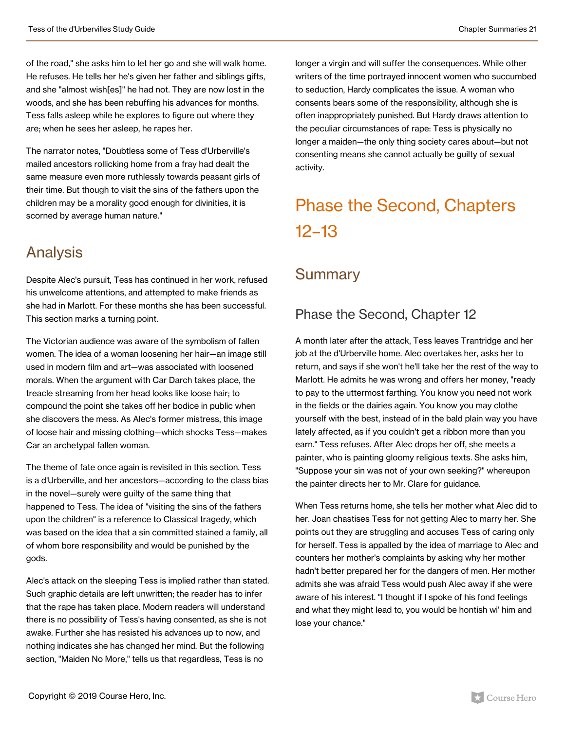of the road," she asks him to let her go and she will walk home. He refuses. He tells her he's given her father and siblings gifts, and she "almost wish[es]" he had not. They are now lost in the woods, and she has been rebuffing his advances for months. Tess falls asleep while he explores to figure out where they are; when he sees her asleep, he rapes her.

The narrator notes, "Doubtless some of Tess d'Urberville's mailed ancestors rollicking home from a fray had dealt the same measure even more ruthlessly towards peasant girls of their time. But though to visit the sins of the fathers upon the children may be a morality good enough for divinities, it is scorned by average human nature."

#### Analysis

Despite Alec's pursuit, Tess has continued in her work, refused his unwelcome attentions, and attempted to make friends as she had in Marlott. For these months she has been successful. This section marks a turning point.

The Victorian audience was aware of the symbolism of fallen women. The idea of a woman loosening her hair—an image still used in modern film and art—was associated with loosened morals. When the argument with Car Darch takes place, the treacle streaming from her head looks like loose hair; to compound the point she takes off her bodice in public when she discovers the mess. As Alec's former mistress, this image of loose hair and missing clothing—which shocks Tess—makes Car an archetypal fallen woman.

The theme of fate once again is revisited in this section. Tess is a d'Urberville, and her ancestors—according to the class bias in the novel—surely were guilty of the same thing that happened to Tess. The idea of "visiting the sins of the fathers upon the children" is a reference to Classical tragedy, which was based on the idea that a sin committed stained a family, all of whom bore responsibility and would be punished by the gods.

Alec's attack on the sleeping Tess is implied rather than stated. Such graphic details are left unwritten; the reader has to infer that the rape has taken place. Modern readers will understand there is no possibility of Tess's having consented, as she is not awake. Further she has resisted his advances up to now, and nothing indicates she has changed her mind. But the following section, "Maiden No More," tells us that regardless, Tess is no

longer a virgin and will suffer the consequences. While other writers of the time portrayed innocent women who succumbed to seduction, Hardy complicates the issue. A woman who consents bears some of the responsibility, although she is often inappropriately punished. But Hardy draws attention to the peculiar circumstances of rape: Tess is physically no longer a maiden—the only thing society cares about—but not consenting means she cannot actually be guilty of sexual activity.

## Phase the Second, Chapters 12–13

### **Summary**

#### Phase the Second, Chapter 12

A month later after the attack, Tess leaves Trantridge and her job at the d'Urberville home. Alec overtakes her, asks her to return, and says if she won't he'll take her the rest of the way to Marlott. He admits he was wrong and offers her money, "ready to pay to the uttermost farthing. You know you need not work in the fields or the dairies again. You know you may clothe yourself with the best, instead of in the bald plain way you have lately affected, as if you couldn't get a ribbon more than you earn." Tess refuses. After Alec drops her off, she meets a painter, who is painting gloomy religious texts. She asks him, "Suppose your sin was not of your own seeking?" whereupon the painter directs her to Mr. Clare for guidance.

When Tess returns home, she tells her mother what Alec did to her. Joan chastises Tess for not getting Alec to marry her. She points out they are struggling and accuses Tess of caring only for herself. Tess is appalled by the idea of marriage to Alec and counters her mother's complaints by asking why her mother hadn't better prepared her for the dangers of men. Her mother admits she was afraid Tess would push Alec away if she were aware of his interest. "I thought if I spoke of his fond feelings and what they might lead to, you would be hontish wi' him and lose your chance."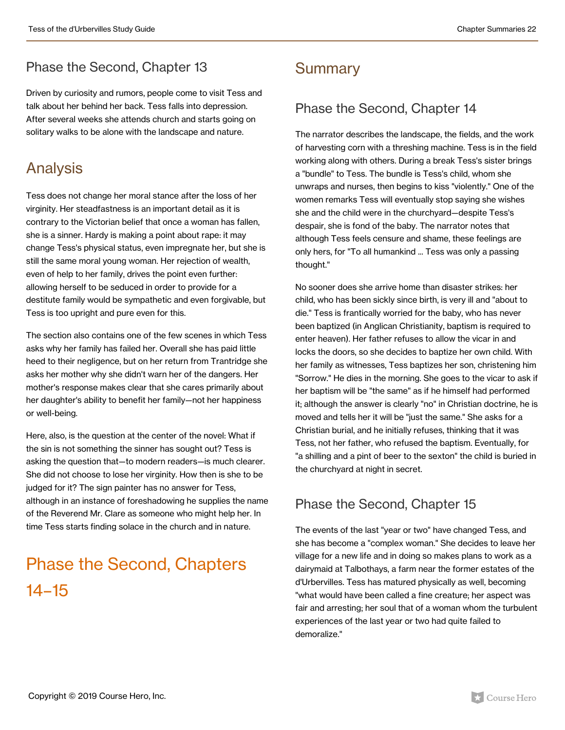#### Phase the Second, Chapter 13

Driven by curiosity and rumors, people come to visit Tess and talk about her behind her back. Tess falls into depression. After several weeks she attends church and starts going on solitary walks to be alone with the landscape and nature.

### Analysis

Tess does not change her moral stance after the loss of her virginity. Her steadfastness is an important detail as it is contrary to the Victorian belief that once a woman has fallen, she is a sinner. Hardy is making a point about rape: it may change Tess's physical status, even impregnate her, but she is still the same moral young woman. Her rejection of wealth, even of help to her family, drives the point even further: allowing herself to be seduced in order to provide for a destitute family would be sympathetic and even forgivable, but Tess is too upright and pure even for this.

The section also contains one of the few scenes in which Tess asks why her family has failed her. Overall she has paid little heed to their negligence, but on her return from Trantridge she asks her mother why she didn't warn her of the dangers. Her mother's response makes clear that she cares primarily about her daughter's ability to benefit her family—not her happiness or well-being.

Here, also, is the question at the center of the novel: What if the sin is not something the sinner has sought out? Tess is asking the question that—to modern readers—is much clearer. She did not choose to lose her virginity. How then is she to be judged for it? The sign painter has no answer for Tess, although in an instance of foreshadowing he supplies the name of the Reverend Mr. Clare as someone who might help her. In time Tess starts finding solace in the church and in nature.

## Phase the Second, Chapters 14–15

### **Summary**

#### Phase the Second, Chapter 14

The narrator describes the landscape, the fields, and the work of harvesting corn with a threshing machine. Tess is in the field working along with others. During a break Tess's sister brings a "bundle" to Tess. The bundle is Tess's child, whom she unwraps and nurses, then begins to kiss "violently." One of the women remarks Tess will eventually stop saying she wishes she and the child were in the churchyard—despite Tess's despair, she is fond of the baby. The narrator notes that although Tess feels censure and shame, these feelings are only hers, for "To all humankind ... Tess was only a passing thought."

No sooner does she arrive home than disaster strikes: her child, who has been sickly since birth, is very ill and "about to die." Tess is frantically worried for the baby, who has never been baptized (in Anglican Christianity, baptism is required to enter heaven). Her father refuses to allow the vicar in and locks the doors, so she decides to baptize her own child. With her family as witnesses, Tess baptizes her son, christening him "Sorrow." He dies in the morning. She goes to the vicar to ask if her baptism will be "the same" as if he himself had performed it; although the answer is clearly "no" in Christian doctrine, he is moved and tells her it will be "just the same." She asks for a Christian burial, and he initially refuses, thinking that it was Tess, not her father, who refused the baptism. Eventually, for "a shilling and a pint of beer to the sexton" the child is buried in the churchyard at night in secret.

#### Phase the Second, Chapter 15

The events of the last "year or two" have changed Tess, and she has become a "complex woman." She decides to leave her village for a new life and in doing so makes plans to work as a dairymaid at Talbothays, a farm near the former estates of the d'Urbervilles. Tess has matured physically as well, becoming "what would have been called a fine creature; her aspect was fair and arresting; her soul that of a woman whom the turbulent experiences of the last year or two had quite failed to demoralize."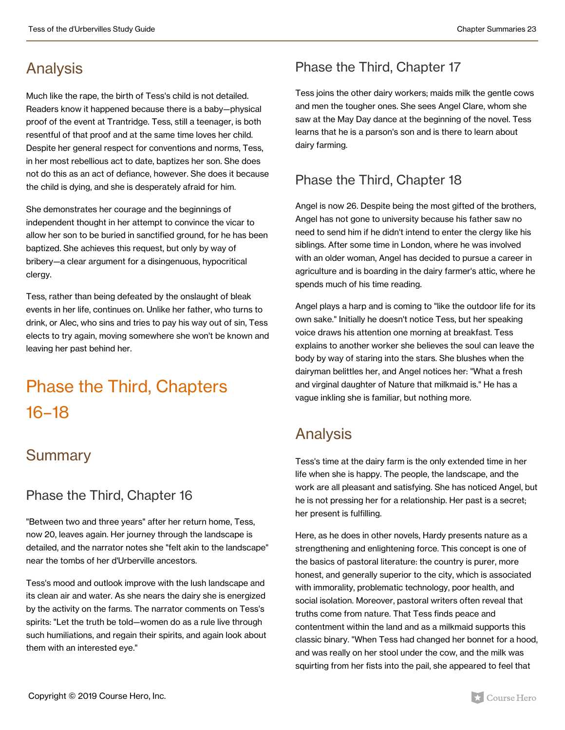### Analysis

Much like the rape, the birth of Tess's child is not detailed. Readers know it happened because there is a baby—physical proof of the event at Trantridge. Tess, still a teenager, is both resentful of that proof and at the same time loves her child. Despite her general respect for conventions and norms, Tess, in her most rebellious act to date, baptizes her son. She does not do this as an act of defiance, however. She does it because the child is dying, and she is desperately afraid for him.

She demonstrates her courage and the beginnings of independent thought in her attempt to convince the vicar to allow her son to be buried in sanctified ground, for he has been baptized. She achieves this request, but only by way of bribery—a clear argument for a disingenuous, hypocritical clergy.

Tess, rather than being defeated by the onslaught of bleak events in her life, continues on. Unlike her father, who turns to drink, or Alec, who sins and tries to pay his way out of sin, Tess elects to try again, moving somewhere she won't be known and leaving her past behind her.

## Phase the Third, Chapters 16–18

### **Summary**

#### Phase the Third, Chapter 16

"Between two and three years" after her return home, Tess, now 20, leaves again. Her journey through the landscape is detailed, and the narrator notes she "felt akin to the landscape" near the tombs of her d'Urberville ancestors.

Tess's mood and outlook improve with the lush landscape and its clean air and water. As she nears the dairy she is energized by the activity on the farms. The narrator comments on Tess's spirits: "Let the truth be told—women do as a rule live through such humiliations, and regain their spirits, and again look about them with an interested eye."

#### Phase the Third, Chapter 17

Tess joins the other dairy workers; maids milk the gentle cows and men the tougher ones. She sees Angel Clare, whom she saw at the May Day dance at the beginning of the novel. Tess learns that he is a parson's son and is there to learn about dairy farming.

#### Phase the Third, Chapter 18

Angel is now 26. Despite being the most gifted of the brothers, Angel has not gone to university because his father saw no need to send him if he didn't intend to enter the clergy like his siblings. After some time in London, where he was involved with an older woman, Angel has decided to pursue a career in agriculture and is boarding in the dairy farmer's attic, where he spends much of his time reading.

Angel plays a harp and is coming to "like the outdoor life for its own sake." Initially he doesn't notice Tess, but her speaking voice draws his attention one morning at breakfast. Tess explains to another worker she believes the soul can leave the body by way of staring into the stars. She blushes when the dairyman belittles her, and Angel notices her: "What a fresh and virginal daughter of Nature that milkmaid is." He has a vague inkling she is familiar, but nothing more.

### Analysis

Tess's time at the dairy farm is the only extended time in her life when she is happy. The people, the landscape, and the work are all pleasant and satisfying. She has noticed Angel, but he is not pressing her for a relationship. Her past is a secret; her present is fulfilling.

Here, as he does in other novels, Hardy presents nature as a strengthening and enlightening force. This concept is one of the basics of pastoral literature: the country is purer, more honest, and generally superior to the city, which is associated with immorality, problematic technology, poor health, and social isolation. Moreover, pastoral writers often reveal that truths come from nature. That Tess finds peace and contentment within the land and as a milkmaid supports this classic binary. "When Tess had changed her bonnet for a hood, and was really on her stool under the cow, and the milk was squirting from her fists into the pail, she appeared to feel that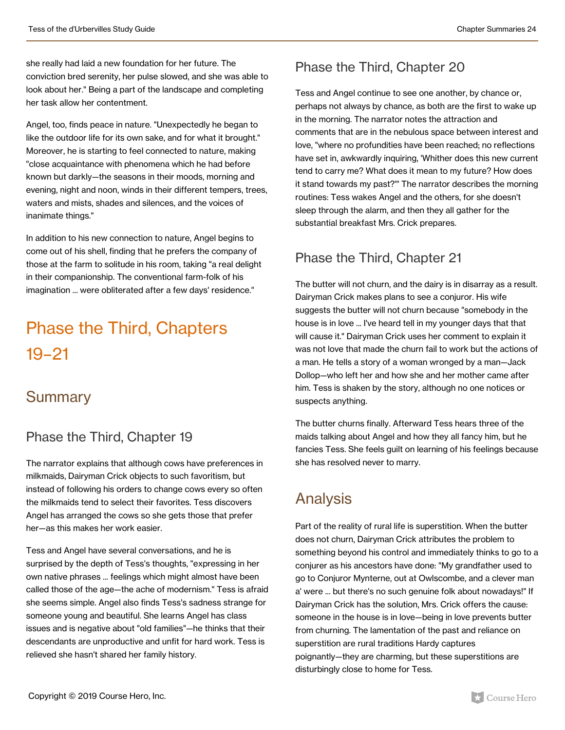she really had laid a new foundation for her future. The conviction bred serenity, her pulse slowed, and she was able to look about her." Being a part of the landscape and completing her task allow her contentment.

Angel, too, finds peace in nature. "Unexpectedly he began to like the outdoor life for its own sake, and for what it brought." Moreover, he is starting to feel connected to nature, making "close acquaintance with phenomena which he had before known but darkly—the seasons in their moods, morning and evening, night and noon, winds in their different tempers, trees, waters and mists, shades and silences, and the voices of inanimate things."

In addition to his new connection to nature, Angel begins to come out of his shell, finding that he prefers the company of those at the farm to solitude in his room, taking "a real delight in their companionship. The conventional farm-folk of his imagination ... were obliterated after a few days' residence."

## Phase the Third, Chapters 19–21

#### **Summary**

#### Phase the Third, Chapter 19

The narrator explains that although cows have preferences in milkmaids, Dairyman Crick objects to such favoritism, but instead of following his orders to change cows every so often the milkmaids tend to select their favorites. Tess discovers Angel has arranged the cows so she gets those that prefer her—as this makes her work easier.

Tess and Angel have several conversations, and he is surprised by the depth of Tess's thoughts, "expressing in her own native phrases ... feelings which might almost have been called those of the age—the ache of modernism." Tess is afraid she seems simple. Angel also finds Tess's sadness strange for someone young and beautiful. She learns Angel has class issues and is negative about "old families"—he thinks that their descendants are unproductive and unfit for hard work. Tess is relieved she hasn't shared her family history.

#### Phase the Third, Chapter 20

Tess and Angel continue to see one another, by chance or, perhaps not always by chance, as both are the first to wake up in the morning. The narrator notes the attraction and comments that are in the nebulous space between interest and love, "where no profundities have been reached; no reflections have set in, awkwardly inquiring, 'Whither does this new current tend to carry me? What does it mean to my future? How does it stand towards my past?'" The narrator describes the morning routines: Tess wakes Angel and the others, for she doesn't sleep through the alarm, and then they all gather for the substantial breakfast Mrs. Crick prepares.

#### Phase the Third, Chapter 21

The butter will not churn, and the dairy is in disarray as a result. Dairyman Crick makes plans to see a conjuror. His wife suggests the butter will not churn because "somebody in the house is in love ... I've heard tell in my younger days that that will cause it." Dairyman Crick uses her comment to explain it was not love that made the churn fail to work but the actions of a man. He tells a story of a woman wronged by a man—Jack Dollop—who left her and how she and her mother came after him. Tess is shaken by the story, although no one notices or suspects anything.

The butter churns finally. Afterward Tess hears three of the maids talking about Angel and how they all fancy him, but he fancies Tess. She feels guilt on learning of his feelings because she has resolved never to marry.

### Analysis

Part of the reality of rural life is superstition. When the butter does not churn, Dairyman Crick attributes the problem to something beyond his control and immediately thinks to go to a conjurer as his ancestors have done: "My grandfather used to go to Conjuror Mynterne, out at Owlscombe, and a clever man a' were ... but there's no such genuine folk about nowadays!" If Dairyman Crick has the solution, Mrs. Crick offers the cause: someone in the house is in love—being in love prevents butter from churning. The lamentation of the past and reliance on superstition are rural traditions Hardy captures poignantly—they are charming, but these superstitions are disturbingly close to home for Tess.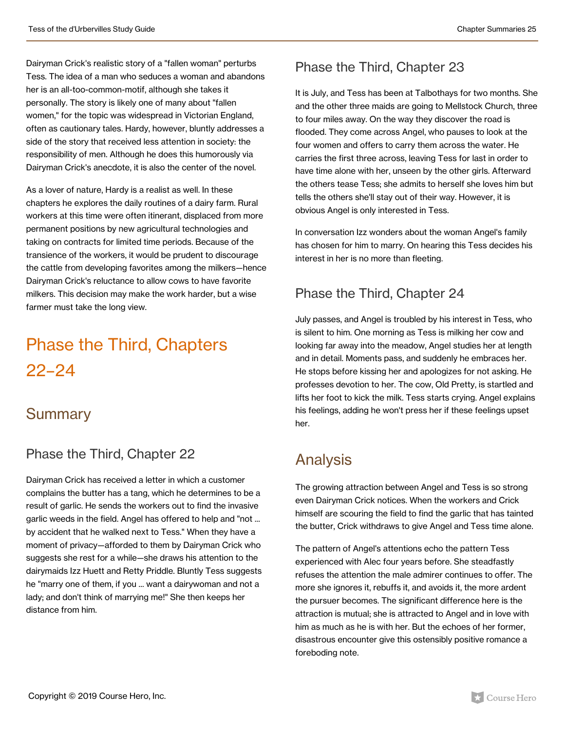Dairyman Crick's realistic story of a "fallen woman" perturbs Tess. The idea of a man who seduces a woman and abandons her is an all-too-common-motif, although she takes it personally. The story is likely one of many about "fallen women," for the topic was widespread in Victorian England, often as cautionary tales. Hardy, however, bluntly addresses a side of the story that received less attention in society: the responsibility of men. Although he does this humorously via Dairyman Crick's anecdote, it is also the center of the novel.

As a lover of nature, Hardy is a realist as well. In these chapters he explores the daily routines of a dairy farm. Rural workers at this time were often itinerant, displaced from more permanent positions by new agricultural technologies and taking on contracts for limited time periods. Because of the transience of the workers, it would be prudent to discourage the cattle from developing favorites among the milkers—hence Dairyman Crick's reluctance to allow cows to have favorite milkers. This decision may make the work harder, but a wise farmer must take the long view.

## Phase the Third, Chapters 22–24

#### **Summary**

#### Phase the Third, Chapter 22

Dairyman Crick has received a letter in which a customer complains the butter has a tang, which he determines to be a result of garlic. He sends the workers out to find the invasive garlic weeds in the field. Angel has offered to help and "not ... by accident that he walked next to Tess." When they have a moment of privacy—afforded to them by Dairyman Crick who suggests she rest for a while—she draws his attention to the dairymaids Izz Huett and Retty Priddle. Bluntly Tess suggests he "marry one of them, if you ... want a dairywoman and not a lady; and don't think of marrying me!" She then keeps her distance from him.

#### Phase the Third, Chapter 23

It is July, and Tess has been at Talbothays for two months. She and the other three maids are going to Mellstock Church, three to four miles away. On the way they discover the road is flooded. They come across Angel, who pauses to look at the four women and offers to carry them across the water. He carries the first three across, leaving Tess for last in order to have time alone with her, unseen by the other girls. Afterward the others tease Tess; she admits to herself she loves him but tells the others she'll stay out of their way. However, it is obvious Angel is only interested in Tess.

In conversation Izz wonders about the woman Angel's family has chosen for him to marry. On hearing this Tess decides his interest in her is no more than fleeting.

#### Phase the Third, Chapter 24

July passes, and Angel is troubled by his interest in Tess, who is silent to him. One morning as Tess is milking her cow and looking far away into the meadow, Angel studies her at length and in detail. Moments pass, and suddenly he embraces her. He stops before kissing her and apologizes for not asking. He professes devotion to her. The cow, Old Pretty, is startled and lifts her foot to kick the milk. Tess starts crying. Angel explains his feelings, adding he won't press her if these feelings upset her.

### Analysis

The growing attraction between Angel and Tess is so strong even Dairyman Crick notices. When the workers and Crick himself are scouring the field to find the garlic that has tainted the butter, Crick withdraws to give Angel and Tess time alone.

The pattern of Angel's attentions echo the pattern Tess experienced with Alec four years before. She steadfastly refuses the attention the male admirer continues to offer. The more she ignores it, rebuffs it, and avoids it, the more ardent the pursuer becomes. The significant difference here is the attraction is mutual; she is attracted to Angel and in love with him as much as he is with her. But the echoes of her former, disastrous encounter give this ostensibly positive romance a foreboding note.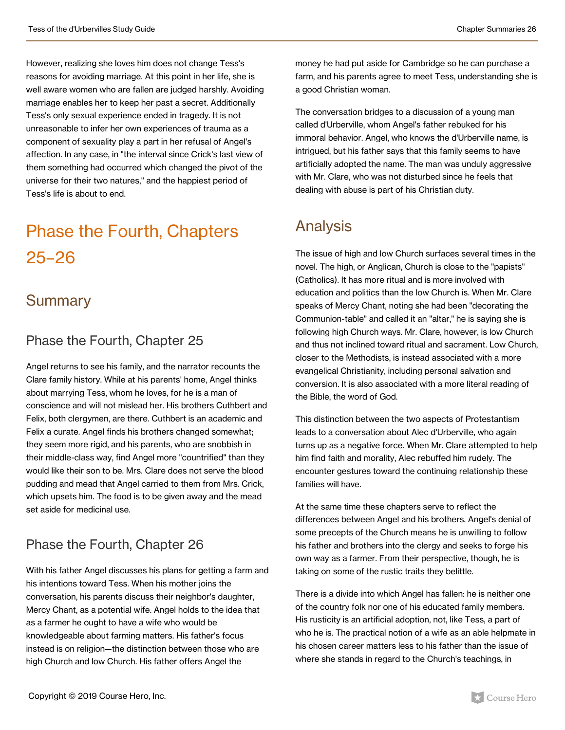However, realizing she loves him does not change Tess's reasons for avoiding marriage. At this point in her life, she is well aware women who are fallen are judged harshly. Avoiding marriage enables her to keep her past a secret. Additionally Tess's only sexual experience ended in tragedy. It is not unreasonable to infer her own experiences of trauma as a component of sexuality play a part in her refusal of Angel's affection. In any case, in "the interval since Crick's last view of them something had occurred which changed the pivot of the universe for their two natures," and the happiest period of Tess's life is about to end.

## Phase the Fourth, Chapters 25–26

#### **Summary**

#### Phase the Fourth, Chapter 25

Angel returns to see his family, and the narrator recounts the Clare family history. While at his parents' home, Angel thinks about marrying Tess, whom he loves, for he is a man of conscience and will not mislead her. His brothers Cuthbert and Felix, both clergymen, are there. Cuthbert is an academic and Felix a curate. Angel finds his brothers changed somewhat; they seem more rigid, and his parents, who are snobbish in their middle-class way, find Angel more "countrified" than they would like their son to be. Mrs. Clare does not serve the blood pudding and mead that Angel carried to them from Mrs. Crick, which upsets him. The food is to be given away and the mead set aside for medicinal use.

#### Phase the Fourth, Chapter 26

With his father Angel discusses his plans for getting a farm and his intentions toward Tess. When his mother joins the conversation, his parents discuss their neighbor's daughter, Mercy Chant, as a potential wife. Angel holds to the idea that as a farmer he ought to have a wife who would be knowledgeable about farming matters. His father's focus instead is on religion—the distinction between those who are high Church and low Church. His father offers Angel the

money he had put aside for Cambridge so he can purchase a farm, and his parents agree to meet Tess, understanding she is a good Christian woman.

The conversation bridges to a discussion of a young man called d'Urberville, whom Angel's father rebuked for his immoral behavior. Angel, who knows the d'Urberville name, is intrigued, but his father says that this family seems to have artificially adopted the name. The man was unduly aggressive with Mr. Clare, who was not disturbed since he feels that dealing with abuse is part of his Christian duty.

### Analysis

The issue of high and low Church surfaces several times in the novel. The high, or Anglican, Church is close to the "papists" (Catholics). It has more ritual and is more involved with education and politics than the low Church is. When Mr. Clare speaks of Mercy Chant, noting she had been "decorating the Communion-table" and called it an "altar," he is saying she is following high Church ways. Mr. Clare, however, is low Church and thus not inclined toward ritual and sacrament. Low Church, closer to the Methodists, is instead associated with a more evangelical Christianity, including personal salvation and conversion. It is also associated with a more literal reading of the Bible, the word of God.

This distinction between the two aspects of Protestantism leads to a conversation about Alec d'Urberville, who again turns up as a negative force. When Mr. Clare attempted to help him find faith and morality, Alec rebuffed him rudely. The encounter gestures toward the continuing relationship these families will have.

At the same time these chapters serve to reflect the differences between Angel and his brothers. Angel's denial of some precepts of the Church means he is unwilling to follow his father and brothers into the clergy and seeks to forge his own way as a farmer. From their perspective, though, he is taking on some of the rustic traits they belittle.

There is a divide into which Angel has fallen: he is neither one of the country folk nor one of his educated family members. His rusticity is an artificial adoption, not, like Tess, a part of who he is. The practical notion of a wife as an able helpmate in his chosen career matters less to his father than the issue of where she stands in regard to the Church's teachings, in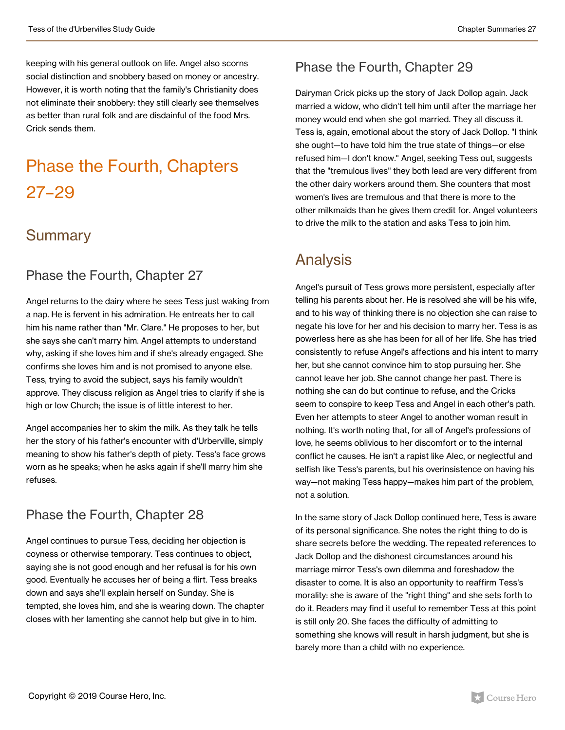keeping with his general outlook on life. Angel also scorns social distinction and snobbery based on money or ancestry. However, it is worth noting that the family's Christianity does not eliminate their snobbery: they still clearly see themselves as better than rural folk and are disdainful of the food Mrs. Crick sends them.

## Phase the Fourth, Chapters 27–29

#### **Summary**

#### Phase the Fourth, Chapter 27

Angel returns to the dairy where he sees Tess just waking from a nap. He is fervent in his admiration. He entreats her to call him his name rather than "Mr. Clare." He proposes to her, but she says she can't marry him. Angel attempts to understand why, asking if she loves him and if she's already engaged. She confirms she loves him and is not promised to anyone else. Tess, trying to avoid the subject, says his family wouldn't approve. They discuss religion as Angel tries to clarify if she is high or low Church; the issue is of little interest to her.

Angel accompanies her to skim the milk. As they talk he tells her the story of his father's encounter with d'Urberville, simply meaning to show his father's depth of piety. Tess's face grows worn as he speaks; when he asks again if she'll marry him she refuses.

#### Phase the Fourth, Chapter 28

Angel continues to pursue Tess, deciding her objection is coyness or otherwise temporary. Tess continues to object, saying she is not good enough and her refusal is for his own good. Eventually he accuses her of being a flirt. Tess breaks down and says she'll explain herself on Sunday. She is tempted, she loves him, and she is wearing down. The chapter closes with her lamenting she cannot help but give in to him.

#### Phase the Fourth, Chapter 29

Dairyman Crick picks up the story of Jack Dollop again. Jack married a widow, who didn't tell him until after the marriage her money would end when she got married. They all discuss it. Tess is, again, emotional about the story of Jack Dollop. "I think she ought—to have told him the true state of things—or else refused him—I don't know." Angel, seeking Tess out, suggests that the "tremulous lives" they both lead are very different from the other dairy workers around them. She counters that most women's lives are tremulous and that there is more to the other milkmaids than he gives them credit for. Angel volunteers to drive the milk to the station and asks Tess to join him.

#### Analysis

Angel's pursuit of Tess grows more persistent, especially after telling his parents about her. He is resolved she will be his wife, and to his way of thinking there is no objection she can raise to negate his love for her and his decision to marry her. Tess is as powerless here as she has been for all of her life. She has tried consistently to refuse Angel's affections and his intent to marry her, but she cannot convince him to stop pursuing her. She cannot leave her job. She cannot change her past. There is nothing she can do but continue to refuse, and the Cricks seem to conspire to keep Tess and Angel in each other's path. Even her attempts to steer Angel to another woman result in nothing. It's worth noting that, for all of Angel's professions of love, he seems oblivious to her discomfort or to the internal conflict he causes. He isn't a rapist like Alec, or neglectful and selfish like Tess's parents, but his overinsistence on having his way—not making Tess happy—makes him part of the problem, not a solution.

In the same story of Jack Dollop continued here, Tess is aware of its personal significance. She notes the right thing to do is share secrets before the wedding. The repeated references to Jack Dollop and the dishonest circumstances around his marriage mirror Tess's own dilemma and foreshadow the disaster to come. It is also an opportunity to reaffirm Tess's morality: she is aware of the "right thing" and she sets forth to do it. Readers may find it useful to remember Tess at this point is still only 20. She faces the difficulty of admitting to something she knows will result in harsh judgment, but she is barely more than a child with no experience.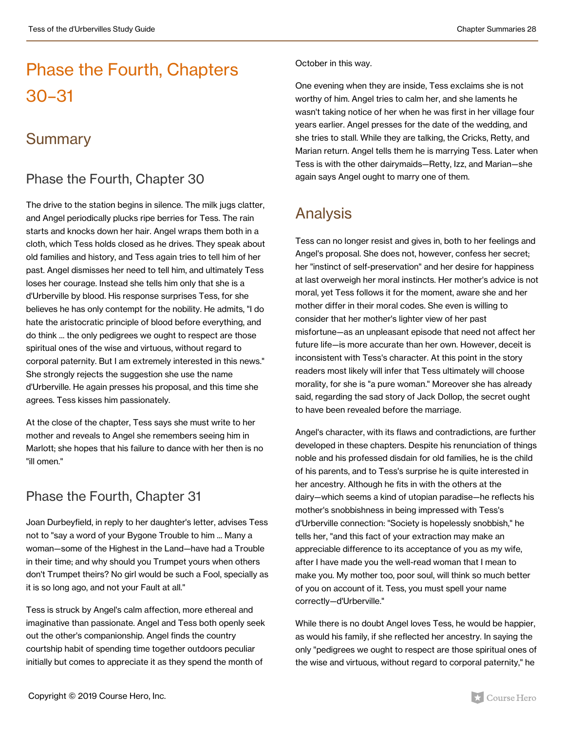## Phase the Fourth, Chapters 30–31

#### **Summary**

#### Phase the Fourth, Chapter 30

The drive to the station begins in silence. The milk jugs clatter, and Angel periodically plucks ripe berries for Tess. The rain starts and knocks down her hair. Angel wraps them both in a cloth, which Tess holds closed as he drives. They speak about old families and history, and Tess again tries to tell him of her past. Angel dismisses her need to tell him, and ultimately Tess loses her courage. Instead she tells him only that she is a d'Urberville by blood. His response surprises Tess, for she believes he has only contempt for the nobility. He admits, "I do hate the aristocratic principle of blood before everything, and do think ... the only pedigrees we ought to respect are those spiritual ones of the wise and virtuous, without regard to corporal paternity. But I am extremely interested in this news." She strongly rejects the suggestion she use the name d'Urberville. He again presses his proposal, and this time she agrees. Tess kisses him passionately.

At the close of the chapter, Tess says she must write to her mother and reveals to Angel she remembers seeing him in Marlott; she hopes that his failure to dance with her then is no "ill omen."

#### Phase the Fourth, Chapter 31

Joan Durbeyfield, in reply to her daughter's letter, advises Tess not to "say a word of your Bygone Trouble to him ... Many a woman—some of the Highest in the Land—have had a Trouble in their time; and why should you Trumpet yours when others don't Trumpet theirs? No girl would be such a Fool, specially as it is so long ago, and not your Fault at all."

Tess is struck by Angel's calm affection, more ethereal and imaginative than passionate. Angel and Tess both openly seek out the other's companionship. Angel finds the country courtship habit of spending time together outdoors peculiar initially but comes to appreciate it as they spend the month of

#### October in this way.

One evening when they are inside, Tess exclaims she is not worthy of him. Angel tries to calm her, and she laments he wasn't taking notice of her when he was first in her village four years earlier. Angel presses for the date of the wedding, and she tries to stall. While they are talking, the Cricks, Retty, and Marian return. Angel tells them he is marrying Tess. Later when Tess is with the other dairymaids—Retty, Izz, and Marian—she again says Angel ought to marry one of them.

### Analysis

Tess can no longer resist and gives in, both to her feelings and Angel's proposal. She does not, however, confess her secret; her "instinct of self-preservation" and her desire for happiness at last overweigh her moral instincts. Her mother's advice is not moral, yet Tess follows it for the moment, aware she and her mother differ in their moral codes. She even is willing to consider that her mother's lighter view of her past misfortune—as an unpleasant episode that need not affect her future life—is more accurate than her own. However, deceit is inconsistent with Tess's character. At this point in the story readers most likely will infer that Tess ultimately will choose morality, for she is "a pure woman." Moreover she has already said, regarding the sad story of Jack Dollop, the secret ought to have been revealed before the marriage.

Angel's character, with its flaws and contradictions, are further developed in these chapters. Despite his renunciation of things noble and his professed disdain for old families, he is the child of his parents, and to Tess's surprise he is quite interested in her ancestry. Although he fits in with the others at the dairy—which seems a kind of utopian paradise—he reflects his mother's snobbishness in being impressed with Tess's d'Urberville connection: "Society is hopelessly snobbish," he tells her, "and this fact of your extraction may make an appreciable difference to its acceptance of you as my wife, after I have made you the well-read woman that I mean to make you. My mother too, poor soul, will think so much better of you on account of it. Tess, you must spell your name correctly—d'Urberville."

While there is no doubt Angel loves Tess, he would be happier, as would his family, if she reflected her ancestry. In saying the only "pedigrees we ought to respect are those spiritual ones of the wise and virtuous, without regard to corporal paternity," he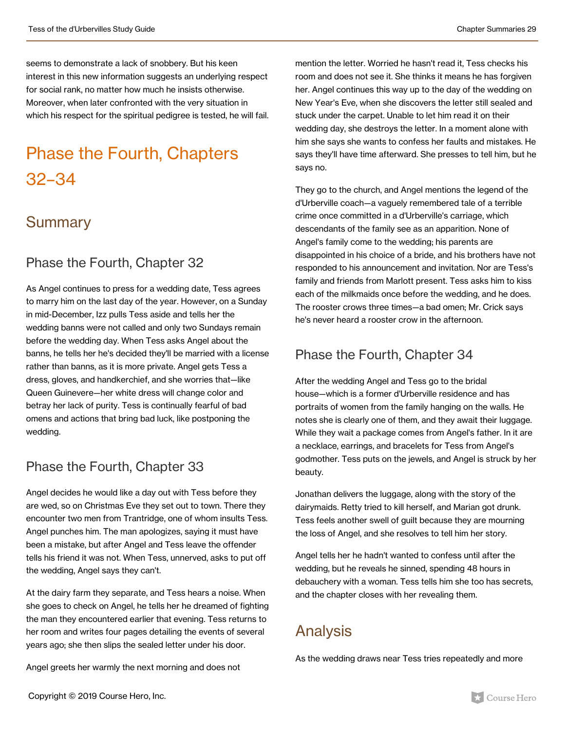seems to demonstrate a lack of snobbery. But his keen interest in this new information suggests an underlying respect for social rank, no matter how much he insists otherwise. Moreover, when later confronted with the very situation in which his respect for the spiritual pedigree is tested, he will fail.

## Phase the Fourth, Chapters 32–34

#### **Summary**

#### Phase the Fourth, Chapter 32

As Angel continues to press for a wedding date, Tess agrees to marry him on the last day of the year. However, on a Sunday in mid-December, Izz pulls Tess aside and tells her the wedding banns were not called and only two Sundays remain before the wedding day. When Tess asks Angel about the banns, he tells her he's decided they'll be married with a license rather than banns, as it is more private. Angel gets Tess a dress, gloves, and handkerchief, and she worries that—like Queen Guinevere—her white dress will change color and betray her lack of purity. Tess is continually fearful of bad omens and actions that bring bad luck, like postponing the wedding.

#### Phase the Fourth, Chapter 33

Angel decides he would like a day out with Tess before they are wed, so on Christmas Eve they set out to town. There they encounter two men from Trantridge, one of whom insults Tess. Angel punches him. The man apologizes, saying it must have been a mistake, but after Angel and Tess leave the offender tells his friend it was not. When Tess, unnerved, asks to put off the wedding, Angel says they can't.

At the dairy farm they separate, and Tess hears a noise. When she goes to check on Angel, he tells her he dreamed of fighting the man they encountered earlier that evening. Tess returns to her room and writes four pages detailing the events of several years ago; she then slips the sealed letter under his door.

Angel greets her warmly the next morning and does not

mention the letter. Worried he hasn't read it, Tess checks his room and does not see it. She thinks it means he has forgiven her. Angel continues this way up to the day of the wedding on New Year's Eve, when she discovers the letter still sealed and stuck under the carpet. Unable to let him read it on their wedding day, she destroys the letter. In a moment alone with him she says she wants to confess her faults and mistakes. He says they'll have time afterward. She presses to tell him, but he says no.

They go to the church, and Angel mentions the legend of the d'Urberville coach—a vaguely remembered tale of a terrible crime once committed in a d'Urberville's carriage, which descendants of the family see as an apparition. None of Angel's family come to the wedding; his parents are disappointed in his choice of a bride, and his brothers have not responded to his announcement and invitation. Nor are Tess's family and friends from Marlott present. Tess asks him to kiss each of the milkmaids once before the wedding, and he does. The rooster crows three times—a bad omen; Mr. Crick says he's never heard a rooster crow in the afternoon.

#### Phase the Fourth, Chapter 34

After the wedding Angel and Tess go to the bridal house—which is a former d'Urberville residence and has portraits of women from the family hanging on the walls. He notes she is clearly one of them, and they await their luggage. While they wait a package comes from Angel's father. In it are a necklace, earrings, and bracelets for Tess from Angel's godmother. Tess puts on the jewels, and Angel is struck by her beauty.

Jonathan delivers the luggage, along with the story of the dairymaids. Retty tried to kill herself, and Marian got drunk. Tess feels another swell of guilt because they are mourning the loss of Angel, and she resolves to tell him her story.

Angel tells her he hadn't wanted to confess until after the wedding, but he reveals he sinned, spending 48 hours in debauchery with a woman. Tess tells him she too has secrets, and the chapter closes with her revealing them.

### Analysis

As the wedding draws near Tess tries repeatedly and more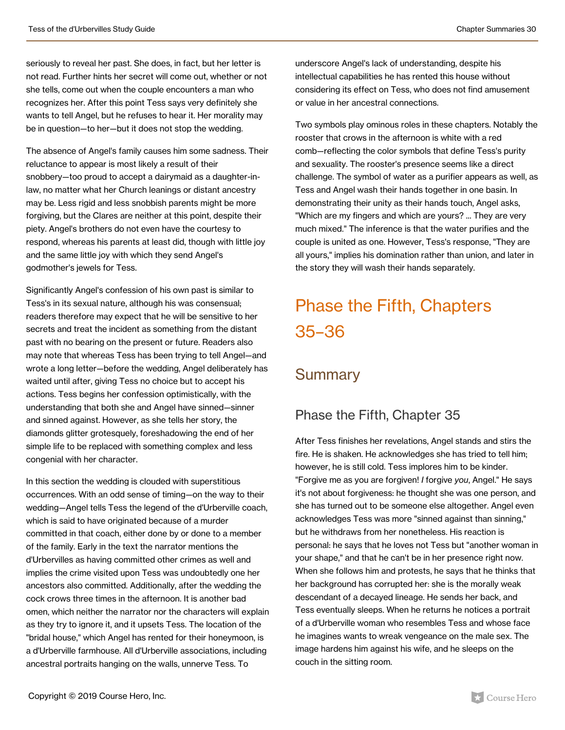seriously to reveal her past. She does, in fact, but her letter is not read. Further hints her secret will come out, whether or not she tells, come out when the couple encounters a man who recognizes her. After this point Tess says very definitely she wants to tell Angel, but he refuses to hear it. Her morality may be in question—to her—but it does not stop the wedding.

The absence of Angel's family causes him some sadness. Their reluctance to appear is most likely a result of their snobbery—too proud to accept a dairymaid as a daughter-inlaw, no matter what her Church leanings or distant ancestry may be. Less rigid and less snobbish parents might be more forgiving, but the Clares are neither at this point, despite their piety. Angel's brothers do not even have the courtesy to respond, whereas his parents at least did, though with little joy and the same little joy with which they send Angel's godmother's jewels for Tess.

Significantly Angel's confession of his own past is similar to Tess's in its sexual nature, although his was consensual; readers therefore may expect that he will be sensitive to her secrets and treat the incident as something from the distant past with no bearing on the present or future. Readers also may note that whereas Tess has been trying to tell Angel—and wrote a long letter—before the wedding, Angel deliberately has waited until after, giving Tess no choice but to accept his actions. Tess begins her confession optimistically, with the understanding that both she and Angel have sinned—sinner and sinned against. However, as she tells her story, the diamonds glitter grotesquely, foreshadowing the end of her simple life to be replaced with something complex and less congenial with her character.

In this section the wedding is clouded with superstitious occurrences. With an odd sense of timing—on the way to their wedding—Angel tells Tess the legend of the d'Urberville coach, which is said to have originated because of a murder committed in that coach, either done by or done to a member of the family. Early in the text the narrator mentions the d'Urbervilles as having committed other crimes as well and implies the crime visited upon Tess was undoubtedly one her ancestors also committed. Additionally, after the wedding the cock crows three times in the afternoon. It is another bad omen, which neither the narrator nor the characters will explain as they try to ignore it, and it upsets Tess. The location of the "bridal house," which Angel has rented for their honeymoon, is a d'Urberville farmhouse. All d'Urberville associations, including ancestral portraits hanging on the walls, unnerve Tess. To

underscore Angel's lack of understanding, despite his intellectual capabilities he has rented this house without considering its effect on Tess, who does not find amusement or value in her ancestral connections.

Two symbols play ominous roles in these chapters. Notably the rooster that crows in the afternoon is white with a red comb—reflecting the color symbols that define Tess's purity and sexuality. The rooster's presence seems like a direct challenge. The symbol of water as a purifier appears as well, as Tess and Angel wash their hands together in one basin. In demonstrating their unity as their hands touch, Angel asks, "Which are my fingers and which are yours? ... They are very much mixed." The inference is that the water purifies and the couple is united as one. However, Tess's response, "They are all yours," implies his domination rather than union, and later in the story they will wash their hands separately.

## Phase the Fifth, Chapters 35–36

#### **Summary**

#### Phase the Fifth, Chapter 35

After Tess finishes her revelations, Angel stands and stirs the fire. He is shaken. He acknowledges she has tried to tell him; however, he is still cold. Tess implores him to be kinder. "Forgive me as you are forgiven! *I* forgive *you*, Angel." He says it's not about forgiveness: he thought she was one person, and she has turned out to be someone else altogether. Angel even acknowledges Tess was more "sinned against than sinning," but he withdraws from her nonetheless. His reaction is personal: he says that he loves not Tess but "another woman in your shape," and that he can't be in her presence right now. When she follows him and protests, he says that he thinks that her background has corrupted her: she is the morally weak descendant of a decayed lineage. He sends her back, and Tess eventually sleeps. When he returns he notices a portrait of a d'Urberville woman who resembles Tess and whose face he imagines wants to wreak vengeance on the male sex. The image hardens him against his wife, and he sleeps on the couch in the sitting room.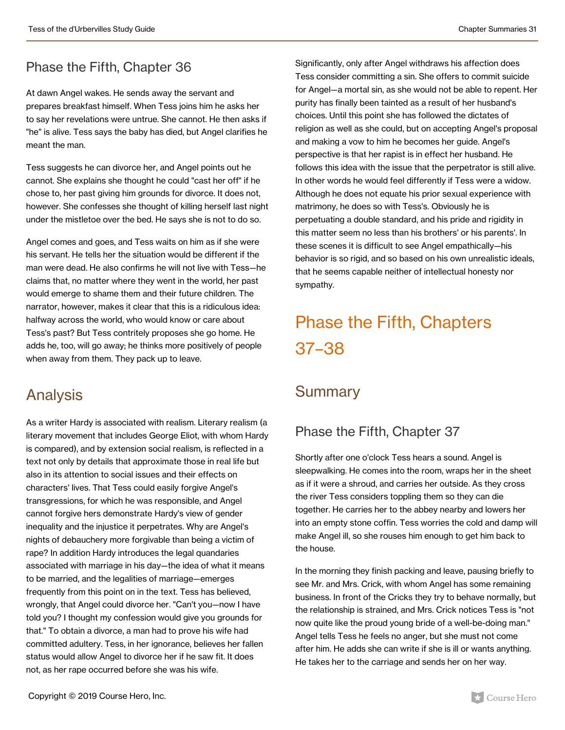#### Phase the Fifth, Chapter 36

At dawn Angel wakes. He sends away the servant and prepares breakfast himself. When Tess joins him he asks her to say her revelations were untrue. She cannot. He then asks if "he" is alive. Tess says the baby has died, but Angel clarifies he meant the man.

Tess suggests he can divorce her, and Angel points out he cannot. She explains she thought he could "cast her off" if he chose to, her past giving him grounds for divorce. It does not, however. She confesses she thought of killing herself last night under the mistletoe over the bed. He says she is not to do so.

Angel comes and goes, and Tess waits on him as if she were his servant. He tells her the situation would be different if the man were dead. He also confirms he will not live with Tess—he claims that, no matter where they went in the world, her past would emerge to shame them and their future children. The narrator, however, makes it clear that this is a ridiculous idea: halfway across the world, who would know or care about Tess's past? But Tess contritely proposes she go home. He adds he, too, will go away; he thinks more positively of people when away from them. They pack up to leave.

#### Analysis

As a writer Hardy is associated with realism. Literary realism (a literary movement that includes George Eliot, with whom Hardy is compared), and by extension social realism, is reflected in a text not only by details that approximate those in real life but also in its attention to social issues and their effects on characters' lives. That Tess could easily forgive Angel's transgressions, for which he was responsible, and Angel cannot forgive hers demonstrate Hardy's view of gender inequality and the injustice it perpetrates. Why are Angel's nights of debauchery more forgivable than being a victim of rape? In addition Hardy introduces the legal quandaries associated with marriage in his day—the idea of what it means to be married, and the legalities of marriage—emerges frequently from this point on in the text. Tess has believed, wrongly, that Angel could divorce her. "Can't you—now I have told you? I thought my confession would give you grounds for that." To obtain a divorce, a man had to prove his wife had committed adultery. Tess, in her ignorance, believes her fallen status would allow Angel to divorce her if he saw fit. It does not, as her rape occurred before she was his wife.

Significantly, only after Angel withdraws his affection does Tess consider committing a sin. She offers to commit suicide for Angel—a mortal sin, as she would not be able to repent. Her purity has finally been tainted as a result of her husband's choices. Until this point she has followed the dictates of religion as well as she could, but on accepting Angel's proposal and making a vow to him he becomes her guide. Angel's perspective is that her rapist is in effect her husband. He follows this idea with the issue that the perpetrator is still alive. In other words he would feel differently if Tess were a widow. Although he does not equate his prior sexual experience with matrimony, he does so with Tess's. Obviously he is perpetuating a double standard, and his pride and rigidity in this matter seem no less than his brothers' or his parents'. In these scenes it is difficult to see Angel empathically—his behavior is so rigid, and so based on his own unrealistic ideals, that he seems capable neither of intellectual honesty nor sympathy.

## Phase the Fifth, Chapters 37–38

### **Summary**

#### Phase the Fifth, Chapter 37

Shortly after one o'clock Tess hears a sound. Angel is sleepwalking. He comes into the room, wraps her in the sheet as if it were a shroud, and carries her outside. As they cross the river Tess considers toppling them so they can die together. He carries her to the abbey nearby and lowers her into an empty stone coffin. Tess worries the cold and damp will make Angel ill, so she rouses him enough to get him back to the house.

In the morning they finish packing and leave, pausing briefly to see Mr. and Mrs. Crick, with whom Angel has some remaining business. In front of the Cricks they try to behave normally, but the relationship is strained, and Mrs. Crick notices Tess is "not now quite like the proud young bride of a well-be-doing man." Angel tells Tess he feels no anger, but she must not come after him. He adds she can write if she is ill or wants anything. He takes her to the carriage and sends her on her way.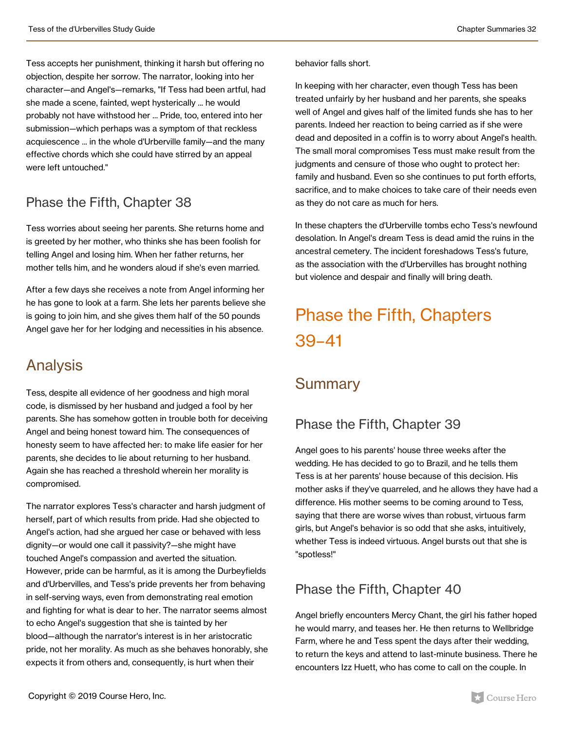Tess accepts her punishment, thinking it harsh but offering no objection, despite her sorrow. The narrator, looking into her character—and Angel's—remarks, "If Tess had been artful, had she made a scene, fainted, wept hysterically ... he would probably not have withstood her ... Pride, too, entered into her submission—which perhaps was a symptom of that reckless acquiescence ... in the whole d'Urberville family—and the many effective chords which she could have stirred by an appeal were left untouched."

#### Phase the Fifth, Chapter 38

Tess worries about seeing her parents. She returns home and is greeted by her mother, who thinks she has been foolish for telling Angel and losing him. When her father returns, her mother tells him, and he wonders aloud if she's even married.

After a few days she receives a note from Angel informing her he has gone to look at a farm. She lets her parents believe she is going to join him, and she gives them half of the 50 pounds Angel gave her for her lodging and necessities in his absence.

### Analysis

Tess, despite all evidence of her goodness and high moral code, is dismissed by her husband and judged a fool by her parents. She has somehow gotten in trouble both for deceiving Angel and being honest toward him. The consequences of honesty seem to have affected her: to make life easier for her parents, she decides to lie about returning to her husband. Again she has reached a threshold wherein her morality is compromised.

The narrator explores Tess's character and harsh judgment of herself, part of which results from pride. Had she objected to Angel's action, had she argued her case or behaved with less dignity—or would one call it passivity?—she might have touched Angel's compassion and averted the situation. However, pride can be harmful, as it is among the Durbeyfields and d'Urbervilles, and Tess's pride prevents her from behaving in self-serving ways, even from demonstrating real emotion and fighting for what is dear to her. The narrator seems almost to echo Angel's suggestion that she is tainted by her blood—although the narrator's interest is in her aristocratic pride, not her morality. As much as she behaves honorably, she expects it from others and, consequently, is hurt when their

#### behavior falls short.

In keeping with her character, even though Tess has been treated unfairly by her husband and her parents, she speaks well of Angel and gives half of the limited funds she has to her parents. Indeed her reaction to being carried as if she were dead and deposited in a coffin is to worry about Angel's health. The small moral compromises Tess must make result from the judgments and censure of those who ought to protect her: family and husband. Even so she continues to put forth efforts, sacrifice, and to make choices to take care of their needs even as they do not care as much for hers.

In these chapters the d'Urberville tombs echo Tess's newfound desolation. In Angel's dream Tess is dead amid the ruins in the ancestral cemetery. The incident foreshadows Tess's future, as the association with the d'Urbervilles has brought nothing but violence and despair and finally will bring death.

## Phase the Fifth, Chapters 39–41

### **Summary**

#### Phase the Fifth, Chapter 39

Angel goes to his parents' house three weeks after the wedding. He has decided to go to Brazil, and he tells them Tess is at her parents' house because of this decision. His mother asks if they've quarreled, and he allows they have had a difference. His mother seems to be coming around to Tess, saying that there are worse wives than robust, virtuous farm girls, but Angel's behavior is so odd that she asks, intuitively, whether Tess is indeed virtuous. Angel bursts out that she is "spotless!"

#### Phase the Fifth, Chapter 40

Angel briefly encounters Mercy Chant, the girl his father hoped he would marry, and teases her. He then returns to Wellbridge Farm, where he and Tess spent the days after their wedding, to return the keys and attend to last-minute business. There he encounters Izz Huett, who has come to call on the couple. In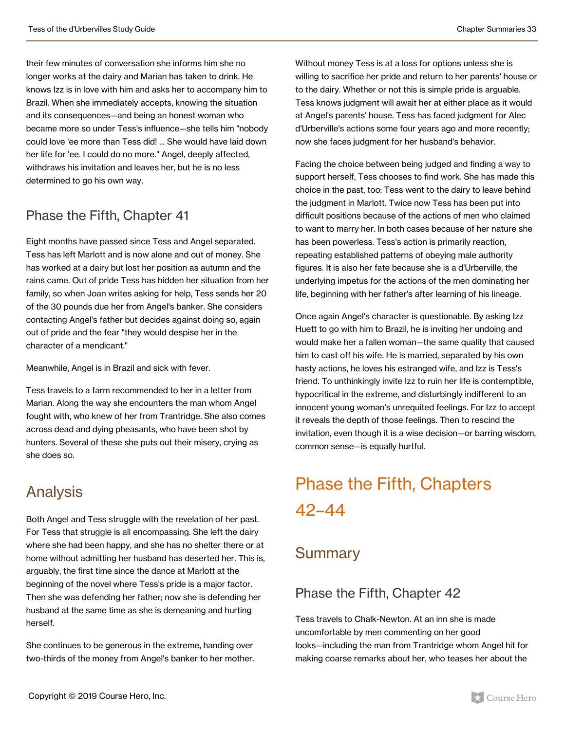their few minutes of conversation she informs him she no longer works at the dairy and Marian has taken to drink. He knows Izz is in love with him and asks her to accompany him to Brazil. When she immediately accepts, knowing the situation and its consequences—and being an honest woman who became more so under Tess's influence—she tells him "nobody could love 'ee more than Tess did! ... She would have laid down her life for 'ee. I could do no more." Angel, deeply affected, withdraws his invitation and leaves her, but he is no less determined to go his own way.

#### Phase the Fifth, Chapter 41

Eight months have passed since Tess and Angel separated. Tess has left Marlott and is now alone and out of money. She has worked at a dairy but lost her position as autumn and the rains came. Out of pride Tess has hidden her situation from her family, so when Joan writes asking for help, Tess sends her 20 of the 30 pounds due her from Angel's banker. She considers contacting Angel's father but decides against doing so, again out of pride and the fear "they would despise her in the character of a mendicant."

Meanwhile, Angel is in Brazil and sick with fever.

Tess travels to a farm recommended to her in a letter from Marian. Along the way she encounters the man whom Angel fought with, who knew of her from Trantridge. She also comes across dead and dying pheasants, who have been shot by hunters. Several of these she puts out their misery, crying as she does so.

### Analysis

Both Angel and Tess struggle with the revelation of her past. For Tess that struggle is all encompassing. She left the dairy where she had been happy, and she has no shelter there or at home without admitting her husband has deserted her. This is, arguably, the first time since the dance at Marlott at the beginning of the novel where Tess's pride is a major factor. Then she was defending her father; now she is defending her husband at the same time as she is demeaning and hurting herself.

She continues to be generous in the extreme, handing over two-thirds of the money from Angel's banker to her mother.

Without money Tess is at a loss for options unless she is willing to sacrifice her pride and return to her parents' house or to the dairy. Whether or not this is simple pride is arguable. Tess knows judgment will await her at either place as it would at Angel's parents' house. Tess has faced judgment for Alec d'Urberville's actions some four years ago and more recently; now she faces judgment for her husband's behavior.

Facing the choice between being judged and finding a way to support herself, Tess chooses to find work. She has made this choice in the past, too: Tess went to the dairy to leave behind the judgment in Marlott. Twice now Tess has been put into difficult positions because of the actions of men who claimed to want to marry her. In both cases because of her nature she has been powerless. Tess's action is primarily reaction, repeating established patterns of obeying male authority figures. It is also her fate because she is a d'Urberville, the underlying impetus for the actions of the men dominating her life, beginning with her father's after learning of his lineage.

Once again Angel's character is questionable. By asking Izz Huett to go with him to Brazil, he is inviting her undoing and would make her a fallen woman—the same quality that caused him to cast off his wife. He is married, separated by his own hasty actions, he loves his estranged wife, and Izz is Tess's friend. To unthinkingly invite Izz to ruin her life is contemptible, hypocritical in the extreme, and disturbingly indifferent to an innocent young woman's unrequited feelings. For Izz to accept it reveals the depth of those feelings. Then to rescind the invitation, even though it is a wise decision—or barring wisdom, common sense—is equally hurtful.

## Phase the Fifth, Chapters 42–44

#### **Summary**

#### Phase the Fifth, Chapter 42

Tess travels to Chalk-Newton. At an inn she is made uncomfortable by men commenting on her good looks—including the man from Trantridge whom Angel hit for making coarse remarks about her, who teases her about the

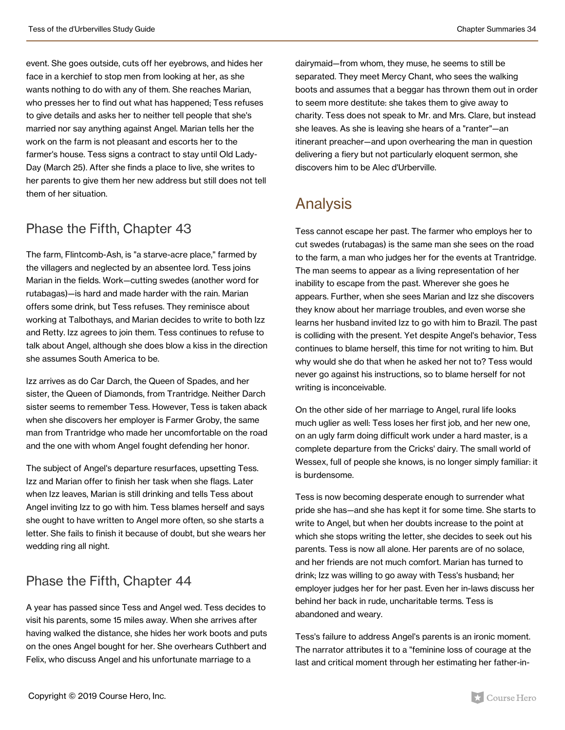event. She goes outside, cuts off her eyebrows, and hides her face in a kerchief to stop men from looking at her, as she wants nothing to do with any of them. She reaches Marian, who presses her to find out what has happened; Tess refuses to give details and asks her to neither tell people that she's married nor say anything against Angel. Marian tells her the work on the farm is not pleasant and escorts her to the farmer's house. Tess signs a contract to stay until Old Lady-Day (March 25). After she finds a place to live, she writes to her parents to give them her new address but still does not tell them of her situation.

#### Phase the Fifth, Chapter 43

The farm, Flintcomb-Ash, is "a starve-acre place," farmed by the villagers and neglected by an absentee lord. Tess joins Marian in the fields. Work—cutting swedes (another word for rutabagas)—is hard and made harder with the rain. Marian offers some drink, but Tess refuses. They reminisce about working at Talbothays, and Marian decides to write to both Izz and Retty. Izz agrees to join them. Tess continues to refuse to talk about Angel, although she does blow a kiss in the direction she assumes South America to be.

Izz arrives as do Car Darch, the Queen of Spades, and her sister, the Queen of Diamonds, from Trantridge. Neither Darch sister seems to remember Tess. However, Tess is taken aback when she discovers her employer is Farmer Groby, the same man from Trantridge who made her uncomfortable on the road and the one with whom Angel fought defending her honor.

The subject of Angel's departure resurfaces, upsetting Tess. Izz and Marian offer to finish her task when she flags. Later when Izz leaves, Marian is still drinking and tells Tess about Angel inviting Izz to go with him. Tess blames herself and says she ought to have written to Angel more often, so she starts a letter. She fails to finish it because of doubt, but she wears her wedding ring all night.

#### Phase the Fifth, Chapter 44

A year has passed since Tess and Angel wed. Tess decides to visit his parents, some 15 miles away. When she arrives after having walked the distance, she hides her work boots and puts on the ones Angel bought for her. She overhears Cuthbert and Felix, who discuss Angel and his unfortunate marriage to a

dairymaid—from whom, they muse, he seems to still be separated. They meet Mercy Chant, who sees the walking boots and assumes that a beggar has thrown them out in order to seem more destitute: she takes them to give away to charity. Tess does not speak to Mr. and Mrs. Clare, but instead she leaves. As she is leaving she hears of a "ranter"—an itinerant preacher—and upon overhearing the man in question delivering a fiery but not particularly eloquent sermon, she discovers him to be Alec d'Urberville.

### Analysis

Tess cannot escape her past. The farmer who employs her to cut swedes (rutabagas) is the same man she sees on the road to the farm, a man who judges her for the events at Trantridge. The man seems to appear as a living representation of her inability to escape from the past. Wherever she goes he appears. Further, when she sees Marian and Izz she discovers they know about her marriage troubles, and even worse she learns her husband invited Izz to go with him to Brazil. The past is colliding with the present. Yet despite Angel's behavior, Tess continues to blame herself, this time for not writing to him. But why would she do that when he asked her not to? Tess would never go against his instructions, so to blame herself for not writing is inconceivable.

On the other side of her marriage to Angel, rural life looks much uglier as well: Tess loses her first job, and her new one, on an ugly farm doing difficult work under a hard master, is a complete departure from the Cricks' dairy. The small world of Wessex, full of people she knows, is no longer simply familiar: it is burdensome.

Tess is now becoming desperate enough to surrender what pride she has—and she has kept it for some time. She starts to write to Angel, but when her doubts increase to the point at which she stops writing the letter, she decides to seek out his parents. Tess is now all alone. Her parents are of no solace, and her friends are not much comfort. Marian has turned to drink; Izz was willing to go away with Tess's husband; her employer judges her for her past. Even her in-laws discuss her behind her back in rude, uncharitable terms. Tess is abandoned and weary.

Tess's failure to address Angel's parents is an ironic moment. The narrator attributes it to a "feminine loss of courage at the last and critical moment through her estimating her father-in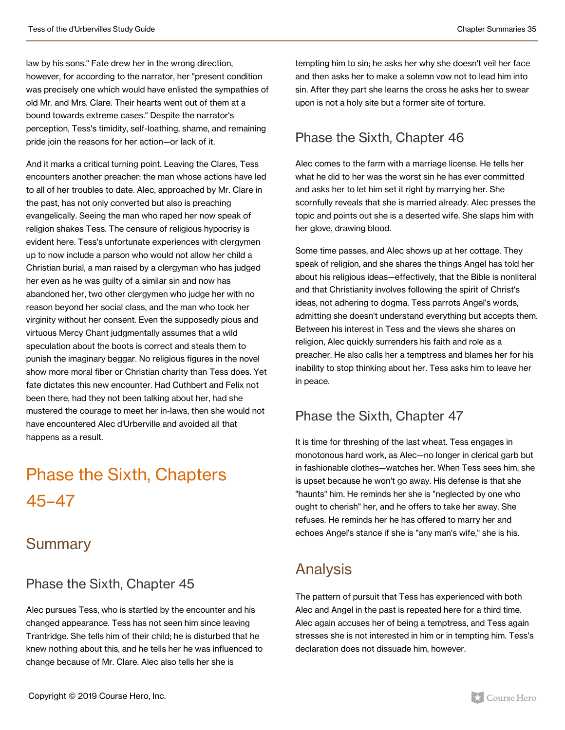law by his sons." Fate drew her in the wrong direction, however, for according to the narrator, her "present condition was precisely one which would have enlisted the sympathies of old Mr. and Mrs. Clare. Their hearts went out of them at a bound towards extreme cases." Despite the narrator's perception, Tess's timidity, self-loathing, shame, and remaining pride join the reasons for her action—or lack of it.

And it marks a critical turning point. Leaving the Clares, Tess encounters another preacher: the man whose actions have led to all of her troubles to date. Alec, approached by Mr. Clare in the past, has not only converted but also is preaching evangelically. Seeing the man who raped her now speak of religion shakes Tess. The censure of religious hypocrisy is evident here. Tess's unfortunate experiences with clergymen up to now include a parson who would not allow her child a Christian burial, a man raised by a clergyman who has judged her even as he was guilty of a similar sin and now has abandoned her, two other clergymen who judge her with no reason beyond her social class, and the man who took her virginity without her consent. Even the supposedly pious and virtuous Mercy Chant judgmentally assumes that a wild speculation about the boots is correct and steals them to punish the imaginary beggar. No religious figures in the novel show more moral fiber or Christian charity than Tess does. Yet fate dictates this new encounter. Had Cuthbert and Felix not been there, had they not been talking about her, had she mustered the courage to meet her in-laws, then she would not have encountered Alec d'Urberville and avoided all that happens as a result.

## Phase the Sixth, Chapters 45–47

#### **Summary**

#### Phase the Sixth, Chapter 45

Alec pursues Tess, who is startled by the encounter and his changed appearance. Tess has not seen him since leaving Trantridge. She tells him of their child; he is disturbed that he knew nothing about this, and he tells her he was influenced to change because of Mr. Clare. Alec also tells her she is

tempting him to sin; he asks her why she doesn't veil her face and then asks her to make a solemn vow not to lead him into sin. After they part she learns the cross he asks her to swear upon is not a holy site but a former site of torture.

#### Phase the Sixth, Chapter 46

Alec comes to the farm with a marriage license. He tells her what he did to her was the worst sin he has ever committed and asks her to let him set it right by marrying her. She scornfully reveals that she is married already. Alec presses the topic and points out she is a deserted wife. She slaps him with her glove, drawing blood.

Some time passes, and Alec shows up at her cottage. They speak of religion, and she shares the things Angel has told her about his religious ideas—effectively, that the Bible is nonliteral and that Christianity involves following the spirit of Christ's ideas, not adhering to dogma. Tess parrots Angel's words, admitting she doesn't understand everything but accepts them. Between his interest in Tess and the views she shares on religion, Alec quickly surrenders his faith and role as a preacher. He also calls her a temptress and blames her for his inability to stop thinking about her. Tess asks him to leave her in peace.

#### Phase the Sixth, Chapter 47

It is time for threshing of the last wheat. Tess engages in monotonous hard work, as Alec—no longer in clerical garb but in fashionable clothes—watches her. When Tess sees him, she is upset because he won't go away. His defense is that she "haunts" him. He reminds her she is "neglected by one who ought to cherish" her, and he offers to take her away. She refuses. He reminds her he has offered to marry her and echoes Angel's stance if she is "any man's wife," she is his.

### Analysis

The pattern of pursuit that Tess has experienced with both Alec and Angel in the past is repeated here for a third time. Alec again accuses her of being a temptress, and Tess again stresses she is not interested in him or in tempting him. Tess's declaration does not dissuade him, however.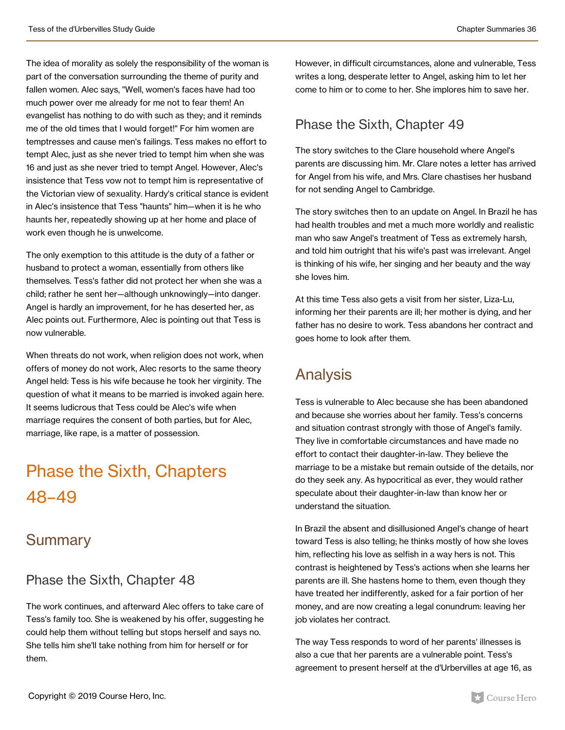The idea of morality as solely the responsibility of the woman is part of the conversation surrounding the theme of purity and fallen women. Alec says, "Well, women's faces have had too much power over me already for me not to fear them! An evangelist has nothing to do with such as they; and it reminds me of the old times that I would forget!" For him women are temptresses and cause men's failings. Tess makes no effort to tempt Alec, just as she never tried to tempt him when she was 16 and just as she never tried to tempt Angel. However, Alec's insistence that Tess vow not to tempt him is representative of the Victorian view of sexuality. Hardy's critical stance is evident in Alec's insistence that Tess "haunts" him—when it is he who haunts her, repeatedly showing up at her home and place of work even though he is unwelcome.

The only exemption to this attitude is the duty of a father or husband to protect a woman, essentially from others like themselves. Tess's father did not protect her when she was a child; rather he sent her—although unknowingly—into danger. Angel is hardly an improvement, for he has deserted her, as Alec points out. Furthermore, Alec is pointing out that Tess is now vulnerable.

When threats do not work, when religion does not work, when offers of money do not work, Alec resorts to the same theory Angel held: Tess is his wife because he took her virginity. The question of what it means to be married is invoked again here. It seems ludicrous that Tess could be Alec's wife when marriage requires the consent of both parties, but for Alec, marriage, like rape, is a matter of possession.

## Phase the Sixth, Chapters 48–49

#### **Summary**

#### Phase the Sixth, Chapter 48

The work continues, and afterward Alec offers to take care of Tess's family too. She is weakened by his offer, suggesting he could help them without telling but stops herself and says no. She tells him she'll take nothing from him for herself or for them.

However, in difficult circumstances, alone and vulnerable, Tess writes a long, desperate letter to Angel, asking him to let her come to him or to come to her. She implores him to save her.

#### Phase the Sixth, Chapter 49

The story switches to the Clare household where Angel's parents are discussing him. Mr. Clare notes a letter has arrived for Angel from his wife, and Mrs. Clare chastises her husband for not sending Angel to Cambridge.

The story switches then to an update on Angel. In Brazil he has had health troubles and met a much more worldly and realistic man who saw Angel's treatment of Tess as extremely harsh, and told him outright that his wife's past was irrelevant. Angel is thinking of his wife, her singing and her beauty and the way she loves him.

At this time Tess also gets a visit from her sister, Liza-Lu, informing her their parents are ill; her mother is dying, and her father has no desire to work. Tess abandons her contract and goes home to look after them.

### Analysis

Tess is vulnerable to Alec because she has been abandoned and because she worries about her family. Tess's concerns and situation contrast strongly with those of Angel's family. They live in comfortable circumstances and have made no effort to contact their daughter-in-law. They believe the marriage to be a mistake but remain outside of the details, nor do they seek any. As hypocritical as ever, they would rather speculate about their daughter-in-law than know her or understand the situation.

In Brazil the absent and disillusioned Angel's change of heart toward Tess is also telling; he thinks mostly of how she loves him, reflecting his love as selfish in a way hers is not. This contrast is heightened by Tess's actions when she learns her parents are ill. She hastens home to them, even though they have treated her indifferently, asked for a fair portion of her money, and are now creating a legal conundrum: leaving her job violates her contract.

The way Tess responds to word of her parents' illnesses is also a cue that her parents are a vulnerable point. Tess's agreement to present herself at the d'Urbervilles at age 16, as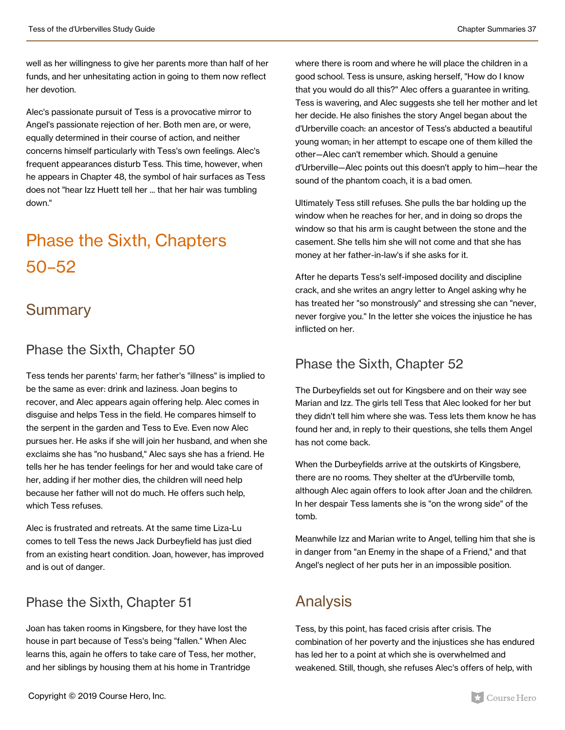well as her willingness to give her parents more than half of her funds, and her unhesitating action in going to them now reflect her devotion.

Alec's passionate pursuit of Tess is a provocative mirror to Angel's passionate rejection of her. Both men are, or were, equally determined in their course of action, and neither concerns himself particularly with Tess's own feelings. Alec's frequent appearances disturb Tess. This time, however, when he appears in Chapter 48, the symbol of hair surfaces as Tess does not "hear Izz Huett tell her ... that her hair was tumbling down."

## Phase the Sixth, Chapters 50–52

### **Summary**

#### Phase the Sixth, Chapter 50

Tess tends her parents' farm; her father's "illness" is implied to be the same as ever: drink and laziness. Joan begins to recover, and Alec appears again offering help. Alec comes in disguise and helps Tess in the field. He compares himself to the serpent in the garden and Tess to Eve. Even now Alec pursues her. He asks if she will join her husband, and when she exclaims she has "no husband," Alec says she has a friend. He tells her he has tender feelings for her and would take care of her, adding if her mother dies, the children will need help because her father will not do much. He offers such help, which Tess refuses.

Alec is frustrated and retreats. At the same time Liza-Lu comes to tell Tess the news Jack Durbeyfield has just died from an existing heart condition. Joan, however, has improved and is out of danger.

#### Phase the Sixth, Chapter 51

Joan has taken rooms in Kingsbere, for they have lost the house in part because of Tess's being "fallen." When Alec learns this, again he offers to take care of Tess, her mother, and her siblings by housing them at his home in Trantridge

where there is room and where he will place the children in a good school. Tess is unsure, asking herself, "How do I know that you would do all this?" Alec offers a guarantee in writing. Tess is wavering, and Alec suggests she tell her mother and let her decide. He also finishes the story Angel began about the d'Urberville coach: an ancestor of Tess's abducted a beautiful young woman; in her attempt to escape one of them killed the other—Alec can't remember which. Should a genuine d'Urberville—Alec points out this doesn't apply to him—hear the sound of the phantom coach, it is a bad omen.

Ultimately Tess still refuses. She pulls the bar holding up the window when he reaches for her, and in doing so drops the window so that his arm is caught between the stone and the casement. She tells him she will not come and that she has money at her father-in-law's if she asks for it.

After he departs Tess's self-imposed docility and discipline crack, and she writes an angry letter to Angel asking why he has treated her "so monstrously" and stressing she can "never, never forgive you." In the letter she voices the injustice he has inflicted on her.

#### Phase the Sixth, Chapter 52

The Durbeyfields set out for Kingsbere and on their way see Marian and Izz. The girls tell Tess that Alec looked for her but they didn't tell him where she was. Tess lets them know he has found her and, in reply to their questions, she tells them Angel has not come back.

When the Durbeyfields arrive at the outskirts of Kingsbere, there are no rooms. They shelter at the d'Urberville tomb, although Alec again offers to look after Joan and the children. In her despair Tess laments she is "on the wrong side" of the tomb.

Meanwhile Izz and Marian write to Angel, telling him that she is in danger from "an Enemy in the shape of a Friend," and that Angel's neglect of her puts her in an impossible position.

### Analysis

Tess, by this point, has faced crisis after crisis. The combination of her poverty and the injustices she has endured has led her to a point at which she is overwhelmed and weakened. Still, though, she refuses Alec's offers of help, with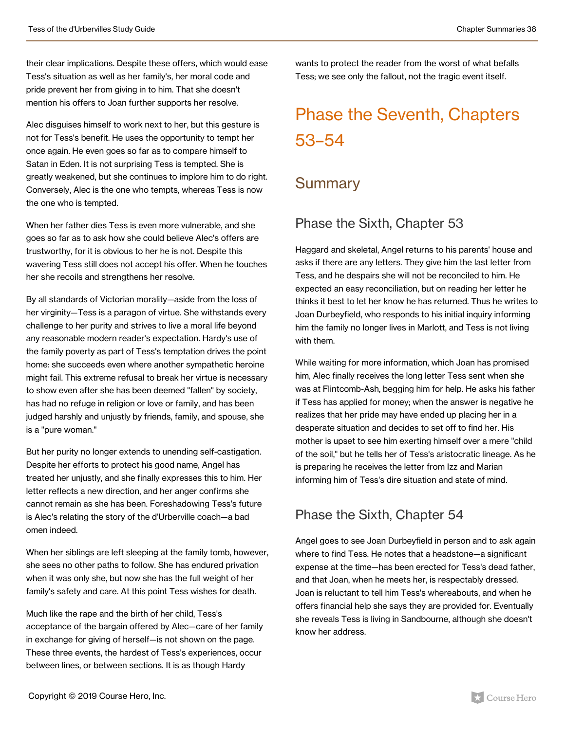their clear implications. Despite these offers, which would ease Tess's situation as well as her family's, her moral code and pride prevent her from giving in to him. That she doesn't mention his offers to Joan further supports her resolve.

Alec disguises himself to work next to her, but this gesture is not for Tess's benefit. He uses the opportunity to tempt her once again. He even goes so far as to compare himself to Satan in Eden. It is not surprising Tess is tempted. She is greatly weakened, but she continues to implore him to do right. Conversely, Alec is the one who tempts, whereas Tess is now the one who is tempted.

When her father dies Tess is even more vulnerable, and she goes so far as to ask how she could believe Alec's offers are trustworthy, for it is obvious to her he is not. Despite this wavering Tess still does not accept his offer. When he touches her she recoils and strengthens her resolve.

By all standards of Victorian morality—aside from the loss of her virginity—Tess is a paragon of virtue. She withstands every challenge to her purity and strives to live a moral life beyond any reasonable modern reader's expectation. Hardy's use of the family poverty as part of Tess's temptation drives the point home: she succeeds even where another sympathetic heroine might fail. This extreme refusal to break her virtue is necessary to show even after she has been deemed "fallen" by society, has had no refuge in religion or love or family, and has been judged harshly and unjustly by friends, family, and spouse, she is a "pure woman."

But her purity no longer extends to unending self-castigation. Despite her efforts to protect his good name, Angel has treated her unjustly, and she finally expresses this to him. Her letter reflects a new direction, and her anger confirms she cannot remain as she has been. Foreshadowing Tess's future is Alec's relating the story of the d'Urberville coach—a bad omen indeed.

When her siblings are left sleeping at the family tomb, however, she sees no other paths to follow. She has endured privation when it was only she, but now she has the full weight of her family's safety and care. At this point Tess wishes for death.

Much like the rape and the birth of her child, Tess's acceptance of the bargain offered by Alec—care of her family in exchange for giving of herself—is not shown on the page. These three events, the hardest of Tess's experiences, occur between lines, or between sections. It is as though Hardy

wants to protect the reader from the worst of what befalls Tess; we see only the fallout, not the tragic event itself.

## Phase the Seventh, Chapters 53–54

### **Summary**

#### Phase the Sixth, Chapter 53

Haggard and skeletal, Angel returns to his parents' house and asks if there are any letters. They give him the last letter from Tess, and he despairs she will not be reconciled to him. He expected an easy reconciliation, but on reading her letter he thinks it best to let her know he has returned. Thus he writes to Joan Durbeyfield, who responds to his initial inquiry informing him the family no longer lives in Marlott, and Tess is not living with them.

While waiting for more information, which Joan has promised him, Alec finally receives the long letter Tess sent when she was at Flintcomb-Ash, begging him for help. He asks his father if Tess has applied for money; when the answer is negative he realizes that her pride may have ended up placing her in a desperate situation and decides to set off to find her. His mother is upset to see him exerting himself over a mere "child of the soil," but he tells her of Tess's aristocratic lineage. As he is preparing he receives the letter from Izz and Marian informing him of Tess's dire situation and state of mind.

#### Phase the Sixth, Chapter 54

Angel goes to see Joan Durbeyfield in person and to ask again where to find Tess. He notes that a headstone—a significant expense at the time—has been erected for Tess's dead father, and that Joan, when he meets her, is respectably dressed. Joan is reluctant to tell him Tess's whereabouts, and when he offers financial help she says they are provided for. Eventually she reveals Tess is living in Sandbourne, although she doesn't know her address.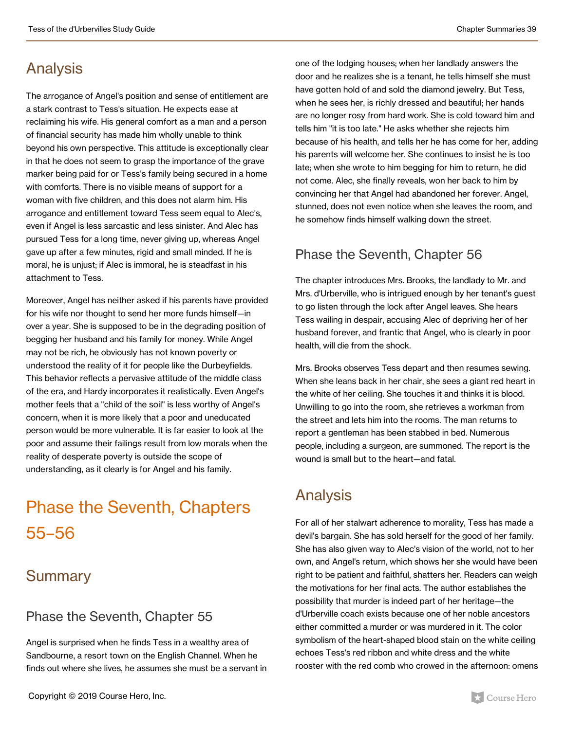### Analysis

The arrogance of Angel's position and sense of entitlement are a stark contrast to Tess's situation. He expects ease at reclaiming his wife. His general comfort as a man and a person of financial security has made him wholly unable to think beyond his own perspective. This attitude is exceptionally clear in that he does not seem to grasp the importance of the grave marker being paid for or Tess's family being secured in a home with comforts. There is no visible means of support for a woman with five children, and this does not alarm him. His arrogance and entitlement toward Tess seem equal to Alec's, even if Angel is less sarcastic and less sinister. And Alec has pursued Tess for a long time, never giving up, whereas Angel gave up after a few minutes, rigid and small minded. If he is moral, he is unjust; if Alec is immoral, he is steadfast in his attachment to Tess.

Moreover, Angel has neither asked if his parents have provided for his wife nor thought to send her more funds himself—in over a year. She is supposed to be in the degrading position of begging her husband and his family for money. While Angel may not be rich, he obviously has not known poverty or understood the reality of it for people like the Durbeyfields. This behavior reflects a pervasive attitude of the middle class of the era, and Hardy incorporates it realistically. Even Angel's mother feels that a "child of the soil" is less worthy of Angel's concern, when it is more likely that a poor and uneducated person would be more vulnerable. It is far easier to look at the poor and assume their failings result from low morals when the reality of desperate poverty is outside the scope of understanding, as it clearly is for Angel and his family.

## Phase the Seventh, Chapters 55–56

#### **Summary**

#### Phase the Seventh, Chapter 55

Angel is surprised when he finds Tess in a wealthy area of Sandbourne, a resort town on the English Channel. When he finds out where she lives, he assumes she must be a servant in

one of the lodging houses; when her landlady answers the door and he realizes she is a tenant, he tells himself she must have gotten hold of and sold the diamond jewelry. But Tess, when he sees her, is richly dressed and beautiful; her hands are no longer rosy from hard work. She is cold toward him and tells him "it is too late." He asks whether she rejects him because of his health, and tells her he has come for her, adding his parents will welcome her. She continues to insist he is too late; when she wrote to him begging for him to return, he did not come. Alec, she finally reveals, won her back to him by convincing her that Angel had abandoned her forever. Angel, stunned, does not even notice when she leaves the room, and he somehow finds himself walking down the street.

#### Phase the Seventh, Chapter 56

The chapter introduces Mrs. Brooks, the landlady to Mr. and Mrs. d'Urberville, who is intrigued enough by her tenant's guest to go listen through the lock after Angel leaves. She hears Tess wailing in despair, accusing Alec of depriving her of her husband forever, and frantic that Angel, who is clearly in poor health, will die from the shock.

Mrs. Brooks observes Tess depart and then resumes sewing. When she leans back in her chair, she sees a giant red heart in the white of her ceiling. She touches it and thinks it is blood. Unwilling to go into the room, she retrieves a workman from the street and lets him into the rooms. The man returns to report a gentleman has been stabbed in bed. Numerous people, including a surgeon, are summoned. The report is the wound is small but to the heart—and fatal.

### Analysis

For all of her stalwart adherence to morality, Tess has made a devil's bargain. She has sold herself for the good of her family. She has also given way to Alec's vision of the world, not to her own, and Angel's return, which shows her she would have been right to be patient and faithful, shatters her. Readers can weigh the motivations for her final acts. The author establishes the possibility that murder is indeed part of her heritage—the d'Urberville coach exists because one of her noble ancestors either committed a murder or was murdered in it. The color symbolism of the heart-shaped blood stain on the white ceiling echoes Tess's red ribbon and white dress and the white rooster with the red comb who crowed in the afternoon: omens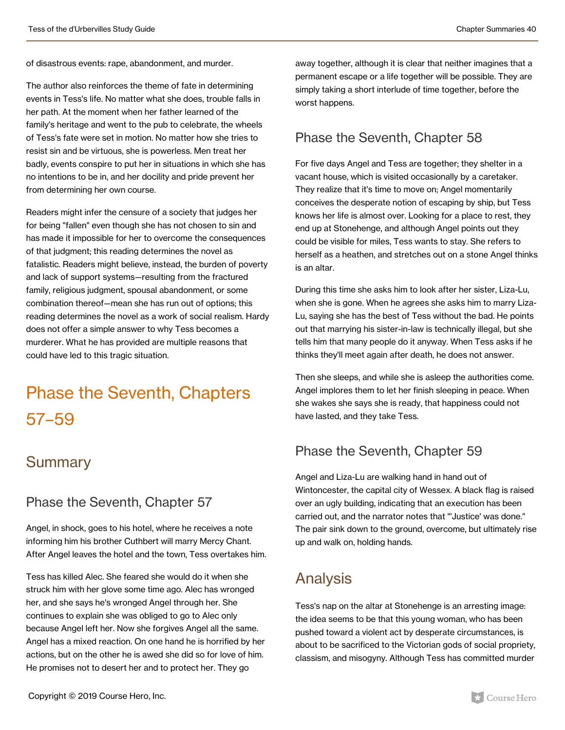of disastrous events: rape, abandonment, and murder.

The author also reinforces the theme of fate in determining events in Tess's life. No matter what she does, trouble falls in her path. At the moment when her father learned of the family's heritage and went to the pub to celebrate, the wheels of Tess's fate were set in motion. No matter how she tries to resist sin and be virtuous, she is powerless. Men treat her badly, events conspire to put her in situations in which she has no intentions to be in, and her docility and pride prevent her from determining her own course.

Readers might infer the censure of a society that judges her for being "fallen" even though she has not chosen to sin and has made it impossible for her to overcome the consequences of that judgment; this reading determines the novel as fatalistic. Readers might believe, instead, the burden of poverty and lack of support systems—resulting from the fractured family, religious judgment, spousal abandonment, or some combination thereof—mean she has run out of options; this reading determines the novel as a work of social realism. Hardy does not offer a simple answer to why Tess becomes a murderer. What he has provided are multiple reasons that could have led to this tragic situation.

## Phase the Seventh, Chapters 57–59

#### **Summary**

#### Phase the Seventh, Chapter 57

Angel, in shock, goes to his hotel, where he receives a note informing him his brother Cuthbert will marry Mercy Chant. After Angel leaves the hotel and the town, Tess overtakes him.

Tess has killed Alec. She feared she would do it when she struck him with her glove some time ago. Alec has wronged her, and she says he's wronged Angel through her. She continues to explain she was obliged to go to Alec only because Angel left her. Now she forgives Angel all the same. Angel has a mixed reaction. On one hand he is horrified by her actions, but on the other he is awed she did so for love of him. He promises not to desert her and to protect her. They go

away together, although it is clear that neither imagines that a permanent escape or a life together will be possible. They are simply taking a short interlude of time together, before the worst happens.

#### Phase the Seventh, Chapter 58

For five days Angel and Tess are together; they shelter in a vacant house, which is visited occasionally by a caretaker. They realize that it's time to move on; Angel momentarily conceives the desperate notion of escaping by ship, but Tess knows her life is almost over. Looking for a place to rest, they end up at Stonehenge, and although Angel points out they could be visible for miles, Tess wants to stay. She refers to herself as a heathen, and stretches out on a stone Angel thinks is an altar.

During this time she asks him to look after her sister, Liza-Lu, when she is gone. When he agrees she asks him to marry Liza-Lu, saying she has the best of Tess without the bad. He points out that marrying his sister-in-law is technically illegal, but she tells him that many people do it anyway. When Tess asks if he thinks they'll meet again after death, he does not answer.

Then she sleeps, and while she is asleep the authorities come. Angel implores them to let her finish sleeping in peace. When she wakes she says she is ready, that happiness could not have lasted, and they take Tess.

#### Phase the Seventh, Chapter 59

Angel and Liza-Lu are walking hand in hand out of Wintoncester, the capital city of Wessex. A black flag is raised over an ugly building, indicating that an execution has been carried out, and the narrator notes that "'Justice' was done." The pair sink down to the ground, overcome, but ultimately rise up and walk on, holding hands.

### Analysis

Tess's nap on the altar at Stonehenge is an arresting image: the idea seems to be that this young woman, who has been pushed toward a violent act by desperate circumstances, is about to be sacrificed to the Victorian gods of social propriety, classism, and misogyny. Although Tess has committed murder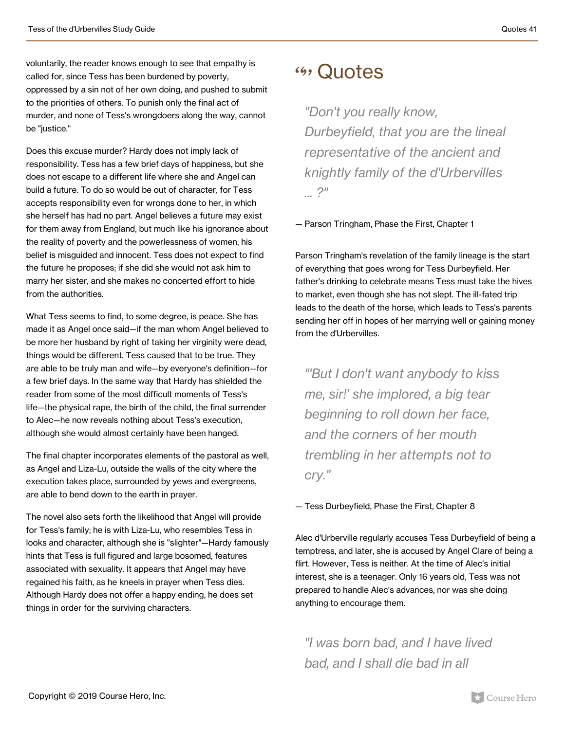voluntarily, the reader knows enough to see that empathy is called for, since Tess has been burdened by poverty, oppressed by a sin not of her own doing, and pushed to submit to the priorities of others. To punish only the final act of murder, and none of Tess's wrongdoers along the way, cannot be "iustice."

Does this excuse murder? Hardy does not imply lack of responsibility. Tess has a few brief days of happiness, but she does not escape to a different life where she and Angel can build a future. To do so would be out of character, for Tess accepts responsibility even for wrongs done to her, in which she herself has had no part. Angel believes a future may exist for them away from England, but much like his ignorance about the reality of poverty and the powerlessness of women, his belief is misguided and innocent. Tess does not expect to find the future he proposes; if she did she would not ask him to marry her sister, and she makes no concerted effort to hide from the authorities.

What Tess seems to find, to some degree, is peace. She has made it as Angel once said—if the man whom Angel believed to be more her husband by right of taking her virginity were dead, things would be different. Tess caused that to be true. They are able to be truly man and wife—by everyone's definition—for a few brief days. In the same way that Hardy has shielded the reader from some of the most difficult moments of Tess's life—the physical rape, the birth of the child, the final surrender to Alec—he now reveals nothing about Tess's execution, although she would almost certainly have been hanged.

The final chapter incorporates elements of the pastoral as well, as Angel and Liza-Lu, outside the walls of the city where the execution takes place, surrounded by yews and evergreens, are able to bend down to the earth in prayer.

The novel also sets forth the likelihood that Angel will provide for Tess's family; he is with Liza-Lu, who resembles Tess in looks and character, although she is "slighter"—Hardy famously hints that Tess is full figured and large bosomed, features associated with sexuality. It appears that Angel may have regained his faith, as he kneels in prayer when Tess dies. Although Hardy does not offer a happy ending, he does set things in order for the surviving characters.

### <sup>49</sup>, Quotes

*"Don't you really know, Durbeyfield, that you are the lineal representative of the ancient and knightly family of the d'Urbervilles ... ?"*

— Parson Tringham, Phase the First, Chapter 1

Parson Tringham's revelation of the family lineage is the start of everything that goes wrong for Tess Durbeyfield. Her father's drinking to celebrate means Tess must take the hives to market, even though she has not slept. The ill-fated trip leads to the death of the horse, which leads to Tess's parents sending her off in hopes of her marrying well or gaining money from the d'Urbervilles.

*"'But I don't want anybody to kiss me, sir!' she implored, a big tear beginning to roll down her face, and the corners of her mouth trembling in her attempts not to cry."*

— Tess Durbeyfield, Phase the First, Chapter 8

Alec d'Urberville regularly accuses Tess Durbeyfield of being a temptress, and later, she is accused by Angel Clare of being a flirt. However, Tess is neither. At the time of Alec's initial interest, she is a teenager. Only 16 years old, Tess was not prepared to handle Alec's advances, nor was she doing anything to encourage them.

*"I was born bad, and I have lived bad, and I shall die bad in all*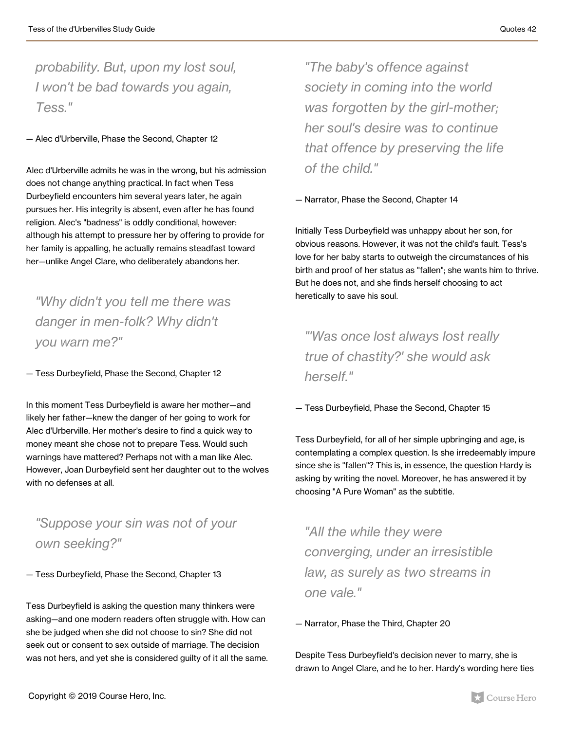*probability. But, upon my lost soul, I won't be bad towards you again, Tess."*

— Alec d'Urberville, Phase the Second, Chapter 12

Alec d'Urberville admits he was in the wrong, but his admission does not change anything practical. In fact when Tess Durbeyfield encounters him several years later, he again pursues her. His integrity is absent, even after he has found religion. Alec's "badness" is oddly conditional, however: although his attempt to pressure her by offering to provide for her family is appalling, he actually remains steadfast toward her—unlike Angel Clare, who deliberately abandons her.

*"Why didn't you tell me there was danger in men-folk? Why didn't you warn me?"*

— Tess Durbeyfield, Phase the Second, Chapter 12

In this moment Tess Durbeyfield is aware her mother—and likely her father—knew the danger of her going to work for Alec d'Urberville. Her mother's desire to find a quick way to money meant she chose not to prepare Tess. Would such warnings have mattered? Perhaps not with a man like Alec. However, Joan Durbeyfield sent her daughter out to the wolves with no defenses at all.

*"Suppose your sin was not of your own seeking?"*

— Tess Durbeyfield, Phase the Second, Chapter 13

Tess Durbeyfield is asking the question many thinkers were asking—and one modern readers often struggle with. How can she be judged when she did not choose to sin? She did not seek out or consent to sex outside of marriage. The decision was not hers, and yet she is considered guilty of it all the same.

*"The baby's offence against society in coming into the world was forgotten by the girl-mother; her soul's desire was to continue that offence by preserving the life of the child."*

— Narrator, Phase the Second, Chapter 14

Initially Tess Durbeyfield was unhappy about her son, for obvious reasons. However, it was not the child's fault. Tess's love for her baby starts to outweigh the circumstances of his birth and proof of her status as "fallen"; she wants him to thrive. But he does not, and she finds herself choosing to act heretically to save his soul.

*"'Was once lost always lost really true of chastity?' she would ask herself."*

— Tess Durbeyfield, Phase the Second, Chapter 15

Tess Durbeyfield, for all of her simple upbringing and age, is contemplating a complex question. Is she irredeemably impure since she is "fallen"? This is, in essence, the question Hardy is asking by writing the novel. Moreover, he has answered it by choosing "A Pure Woman" as the subtitle.

*"All the while they were converging, under an irresistible law, as surely as two streams in one vale."*

— Narrator, Phase the Third, Chapter 20

Despite Tess Durbeyfield's decision never to marry, she is drawn to Angel Clare, and he to her. Hardy's wording here ties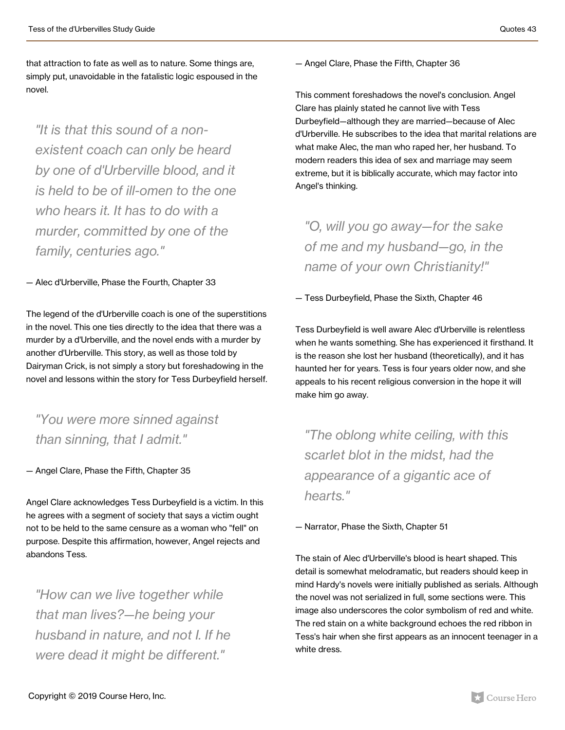that attraction to fate as well as to nature. Some things are, simply put, unavoidable in the fatalistic logic espoused in the novel.

*"It is that this sound of a nonexistent coach can only be heard by one of d'Urberville blood, and it is held to be of ill-omen to the one who hears it. It has to do with a murder, committed by one of the family, centuries ago."*

— Alec d'Urberville, Phase the Fourth, Chapter 33

The legend of the d'Urberville coach is one of the superstitions in the novel. This one ties directly to the idea that there was a murder by a d'Urberville, and the novel ends with a murder by another d'Urberville. This story, as well as those told by Dairyman Crick, is not simply a story but foreshadowing in the novel and lessons within the story for Tess Durbeyfield herself.

*"You were more sinned against than sinning, that I admit."*

— Angel Clare, Phase the Fifth, Chapter 35

Angel Clare acknowledges Tess Durbeyfield is a victim. In this he agrees with a segment of society that says a victim ought not to be held to the same censure as a woman who "fell" on purpose. Despite this affirmation, however, Angel rejects and abandons Tess.

*"How can we live together while that man lives?—he being your husband in nature, and not I. If he were dead it might be different."*

— Angel Clare, Phase the Fifth, Chapter 36

This comment foreshadows the novel's conclusion. Angel Clare has plainly stated he cannot live with Tess Durbeyfield—although they are married—because of Alec d'Urberville. He subscribes to the idea that marital relations are what make Alec, the man who raped her, her husband. To modern readers this idea of sex and marriage may seem extreme, but it is biblically accurate, which may factor into Angel's thinking.

*"O, will you go away—for the sake of me and my husband—go, in the name of your own Christianity!"*

— Tess Durbeyfield, Phase the Sixth, Chapter 46

Tess Durbeyfield is well aware Alec d'Urberville is relentless when he wants something. She has experienced it firsthand. It is the reason she lost her husband (theoretically), and it has haunted her for years. Tess is four years older now, and she appeals to his recent religious conversion in the hope it will make him go away.

*"The oblong white ceiling, with this scarlet blot in the midst, had the appearance of a gigantic ace of hearts."*

— Narrator, Phase the Sixth, Chapter 51

The stain of Alec d'Urberville's blood is heart shaped. This detail is somewhat melodramatic, but readers should keep in mind Hardy's novels were initially published as serials. Although the novel was not serialized in full, some sections were. This image also underscores the color symbolism of red and white. The red stain on a white background echoes the red ribbon in Tess's hair when she first appears as an innocent teenager in a white dress.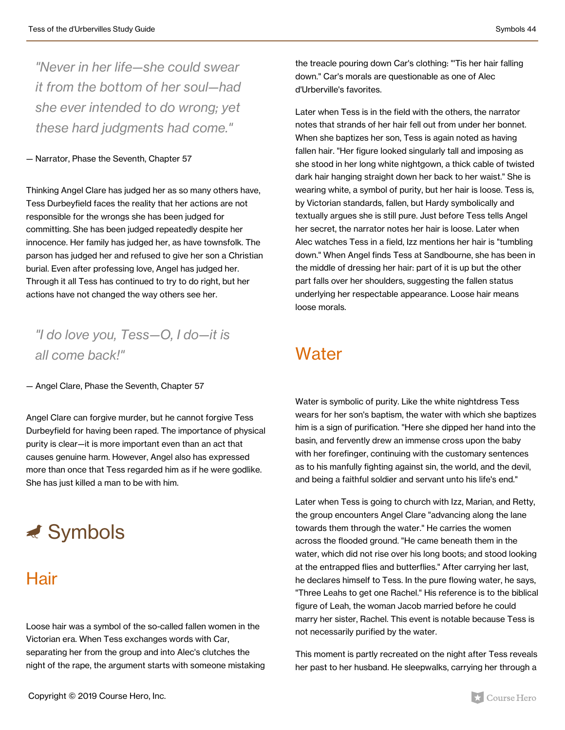*"Never in her life—she could swear it from the bottom of her soul—had she ever intended to do wrong; yet these hard judgments had come."*

#### — Narrator, Phase the Seventh, Chapter 57

Thinking Angel Clare has judged her as so many others have, Tess Durbeyfield faces the reality that her actions are not responsible for the wrongs she has been judged for committing. She has been judged repeatedly despite her innocence. Her family has judged her, as have townsfolk. The parson has judged her and refused to give her son a Christian burial. Even after professing love, Angel has judged her. Through it all Tess has continued to try to do right, but her actions have not changed the way others see her.

#### *"I do love you, Tess—O, I do—it is all come back!"*

— Angel Clare, Phase the Seventh, Chapter 57

Angel Clare can forgive murder, but he cannot forgive Tess Durbeyfield for having been raped. The importance of physical purity is clear—it is more important even than an act that causes genuine harm. However, Angel also has expressed more than once that Tess regarded him as if he were godlike. She has just killed a man to be with him.



### Hair

Loose hair was a symbol of the so-called fallen women in the Victorian era. When Tess exchanges words with Car, separating her from the group and into Alec's clutches the night of the rape, the argument starts with someone mistaking

the treacle pouring down Car's clothing: "'Tis her hair falling down." Car's morals are questionable as one of Alec d'Urberville's favorites.

Later when Tess is in the field with the others, the narrator notes that strands of her hair fell out from under her bonnet. When she baptizes her son, Tess is again noted as having fallen hair. "Her figure looked singularly tall and imposing as she stood in her long white nightgown, a thick cable of twisted dark hair hanging straight down her back to her waist." She is wearing white, a symbol of purity, but her hair is loose. Tess is, by Victorian standards, fallen, but Hardy symbolically and textually argues she is still pure. Just before Tess tells Angel her secret, the narrator notes her hair is loose. Later when Alec watches Tess in a field, Izz mentions her hair is "tumbling down." When Angel finds Tess at Sandbourne, she has been in the middle of dressing her hair: part of it is up but the other part falls over her shoulders, suggesting the fallen status underlying her respectable appearance. Loose hair means loose morals.

### **Water**

Water is symbolic of purity. Like the white nightdress Tess wears for her son's baptism, the water with which she baptizes him is a sign of purification. "Here she dipped her hand into the basin, and fervently drew an immense cross upon the baby with her forefinger, continuing with the customary sentences as to his manfully fighting against sin, the world, and the devil, and being a faithful soldier and servant unto his life's end."

Later when Tess is going to church with Izz, Marian, and Retty, the group encounters Angel Clare "advancing along the lane towards them through the water." He carries the women across the flooded ground. "He came beneath them in the water, which did not rise over his long boots; and stood looking at the entrapped flies and butterflies." After carrying her last, he declares himself to Tess. In the pure flowing water, he says, "Three Leahs to get one Rachel." His reference is to the biblical figure of Leah, the woman Jacob married before he could marry her sister, Rachel. This event is notable because Tess is not necessarily purified by the water.

This moment is partly recreated on the night after Tess reveals her past to her husband. He sleepwalks, carrying her through a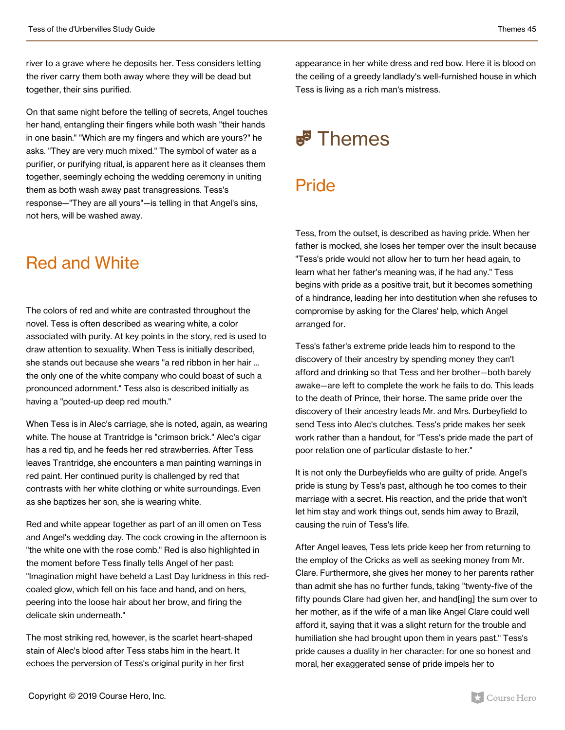river to a grave where he deposits her. Tess considers letting the river carry them both away where they will be dead but together, their sins purified.

On that same night before the telling of secrets, Angel touches her hand, entangling their fingers while both wash "their hands in one basin." "Which are my fingers and which are yours?" he asks. "They are very much mixed." The symbol of water as a purifier, or purifying ritual, is apparent here as it cleanses them together, seemingly echoing the wedding ceremony in uniting them as both wash away past transgressions. Tess's response—"They are all yours"—is telling in that Angel's sins, not hers, will be washed away.

### Red and White

The colors of red and white are contrasted throughout the novel. Tess is often described as wearing white, a color associated with purity. At key points in the story, red is used to draw attention to sexuality. When Tess is initially described, she stands out because she wears "a red ribbon in her hair ... the only one of the white company who could boast of such a pronounced adornment." Tess also is described initially as having a "pouted-up deep red mouth."

When Tess is in Alec's carriage, she is noted, again, as wearing white. The house at Trantridge is "crimson brick." Alec's cigar has a red tip, and he feeds her red strawberries. After Tess leaves Trantridge, she encounters a man painting warnings in red paint. Her continued purity is challenged by red that contrasts with her white clothing or white surroundings. Even as she baptizes her son, she is wearing white.

Red and white appear together as part of an ill omen on Tess and Angel's wedding day. The cock crowing in the afternoon is "the white one with the rose comb." Red is also highlighted in the moment before Tess finally tells Angel of her past: "Imagination might have beheld a Last Day luridness in this redcoaled glow, which fell on his face and hand, and on hers, peering into the loose hair about her brow, and firing the delicate skin underneath."

The most striking red, however, is the scarlet heart-shaped stain of Alec's blood after Tess stabs him in the heart. It echoes the perversion of Tess's original purity in her first

appearance in her white dress and red bow. Here it is blood on the ceiling of a greedy landlady's well-furnished house in which Tess is living as a rich man's mistress.

## $\mathbf{F}^{\mathbf{F}}$  Themes

### Pride

Tess, from the outset, is described as having pride. When her father is mocked, she loses her temper over the insult because "Tess's pride would not allow her to turn her head again, to learn what her father's meaning was, if he had any." Tess begins with pride as a positive trait, but it becomes something of a hindrance, leading her into destitution when she refuses to compromise by asking for the Clares' help, which Angel arranged for.

Tess's father's extreme pride leads him to respond to the discovery of their ancestry by spending money they can't afford and drinking so that Tess and her brother—both barely awake—are left to complete the work he fails to do. This leads to the death of Prince, their horse. The same pride over the discovery of their ancestry leads Mr. and Mrs. Durbeyfield to send Tess into Alec's clutches. Tess's pride makes her seek work rather than a handout, for "Tess's pride made the part of poor relation one of particular distaste to her."

It is not only the Durbeyfields who are guilty of pride. Angel's pride is stung by Tess's past, although he too comes to their marriage with a secret. His reaction, and the pride that won't let him stay and work things out, sends him away to Brazil, causing the ruin of Tess's life.

After Angel leaves, Tess lets pride keep her from returning to the employ of the Cricks as well as seeking money from Mr. Clare. Furthermore, she gives her money to her parents rather than admit she has no further funds, taking "twenty-five of the fifty pounds Clare had given her, and hand[ing] the sum over to her mother, as if the wife of a man like Angel Clare could well afford it, saying that it was a slight return for the trouble and humiliation she had brought upon them in years past." Tess's pride causes a duality in her character: for one so honest and moral, her exaggerated sense of pride impels her to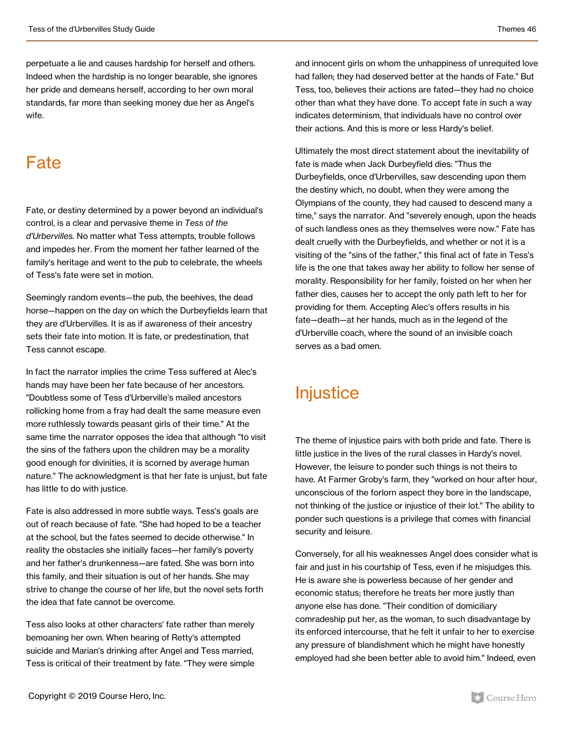perpetuate a lie and causes hardship for herself and others. Indeed when the hardship is no longer bearable, she ignores her pride and demeans herself, according to her own moral standards, far more than seeking money due her as Angel's wife.

### Fate

Fate, or destiny determined by a power beyond an individual's control, is a clear and pervasive theme in *Tess of the d'Urbervilles.* No matter what Tess attempts, trouble follows and impedes her. From the moment her father learned of the family's heritage and went to the pub to celebrate, the wheels of Tess's fate were set in motion.

Seemingly random events—the pub, the beehives, the dead horse—happen on the day on which the Durbeyfields learn that they are d'Urbervilles. It is as if awareness of their ancestry sets their fate into motion. It is fate, or predestination, that Tess cannot escape.

In fact the narrator implies the crime Tess suffered at Alec's hands may have been her fate because of her ancestors. "Doubtless some of Tess d'Urberville's mailed ancestors rollicking home from a fray had dealt the same measure even more ruthlessly towards peasant girls of their time." At the same time the narrator opposes the idea that although "to visit the sins of the fathers upon the children may be a morality good enough for divinities, it is scorned by average human nature." The acknowledgment is that her fate is unjust, but fate has little to do with justice.

Fate is also addressed in more subtle ways. Tess's goals are out of reach because of fate. "She had hoped to be a teacher at the school, but the fates seemed to decide otherwise." In reality the obstacles she initially faces—her family's poverty and her father's drunkenness—are fated. She was born into this family, and their situation is out of her hands. She may strive to change the course of her life, but the novel sets forth the idea that fate cannot be overcome.

Tess also looks at other characters' fate rather than merely bemoaning her own. When hearing of Retty's attempted suicide and Marian's drinking after Angel and Tess married, Tess is critical of their treatment by fate. "They were simple

and innocent girls on whom the unhappiness of unrequited love had fallen; they had deserved better at the hands of Fate." But Tess, too, believes their actions are fated—they had no choice other than what they have done. To accept fate in such a way indicates determinism, that individuals have no control over their actions. And this is more or less Hardy's belief.

Ultimately the most direct statement about the inevitability of fate is made when Jack Durbeyfield dies: "Thus the Durbeyfields, once d'Urbervilles, saw descending upon them the destiny which, no doubt, when they were among the Olympians of the county, they had caused to descend many a time," says the narrator. And "severely enough, upon the heads of such landless ones as they themselves were now." Fate has dealt cruelly with the Durbeyfields, and whether or not it is a visiting of the "sins of the father," this final act of fate in Tess's life is the one that takes away her ability to follow her sense of morality. Responsibility for her family, foisted on her when her father dies, causes her to accept the only path left to her for providing for them. Accepting Alec's offers results in his fate—death—at her hands, much as in the legend of the d'Urberville coach, where the sound of an invisible coach serves as a bad omen.

### **Injustice**

The theme of injustice pairs with both pride and fate. There is little justice in the lives of the rural classes in Hardy's novel. However, the leisure to ponder such things is not theirs to have. At Farmer Groby's farm, they "worked on hour after hour, unconscious of the forlorn aspect they bore in the landscape, not thinking of the justice or injustice of their lot." The ability to ponder such questions is a privilege that comes with financial security and leisure.

Conversely, for all his weaknesses Angel does consider what is fair and just in his courtship of Tess, even if he misjudges this. He is aware she is powerless because of her gender and economic status; therefore he treats her more justly than anyone else has done. "Their condition of domiciliary comradeship put her, as the woman, to such disadvantage by its enforced intercourse, that he felt it unfair to her to exercise any pressure of blandishment which he might have honestly employed had she been better able to avoid him." Indeed, even